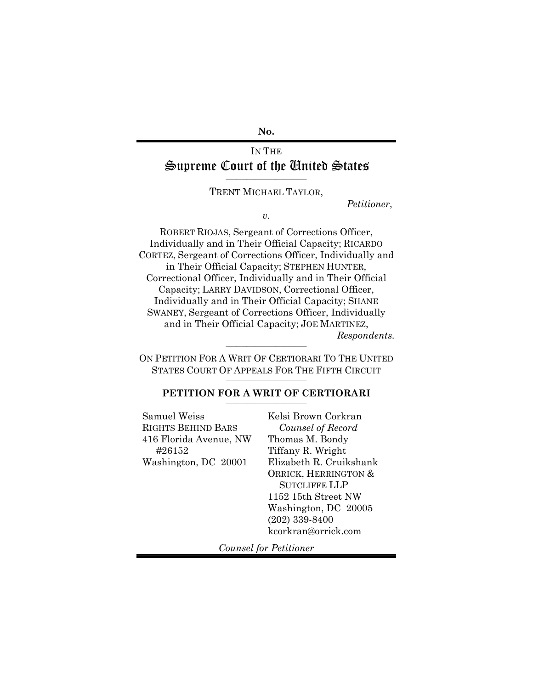**No.** 

## IN THE Supreme Court of the United States

\_\_\_\_\_\_\_\_\_\_\_\_\_\_\_\_\_\_\_\_\_\_\_\_\_\_\_\_\_\_\_ TRENT MICHAEL TAYLOR,

 *Petitioner*,

*v.* 

ROBERT RIOJAS, Sergeant of Corrections Officer, Individually and in Their Official Capacity; RICARDO CORTEZ, Sergeant of Corrections Officer, Individually and in Their Official Capacity; STEPHEN HUNTER, Correctional Officer, Individually and in Their Official Capacity; LARRY DAVIDSON, Correctional Officer, Individually and in Their Official Capacity; SHANE SWANEY, Sergeant of Corrections Officer, Individually and in Their Official Capacity; JOE MARTINEZ,  *Respondents.* 

ON PETITION FOR A WRIT OF CERTIORARI TO THE UNITED STATES COURT OF APPEALS FOR THE FIFTH CIRCUIT  $\mathcal{L}=\{1,2,3,4,5\}$  , we can assume that the contribution of  $\mathcal{L}=\{1,2,3,4,5\}$ 

 $\mathcal{L}=\{1,2,3,4,5\}$  , we can assume that the contribution of  $\mathcal{L}=\{1,2,3,4,5\}$ 

#### **PETITION FOR A WRIT OF CERTIORARI** \_\_\_\_\_\_\_\_\_\_\_\_\_\_\_\_\_\_\_\_\_\_\_\_\_\_\_\_\_\_\_

Samuel Weiss RIGHTS BEHIND BARS 416 Florida Avenue, NW #26152 Washington, DC 20001

Kelsi Brown Corkran *Counsel of Record*  Thomas M. Bondy Tiffany R. Wright Elizabeth R. Cruikshank ORRICK, HERRINGTON & SUTCLIFFE LLP 1152 15th Street NW Washington, DC 20005 (202) 339-8400 kcorkran@orrick.com

*Counsel for Petitioner*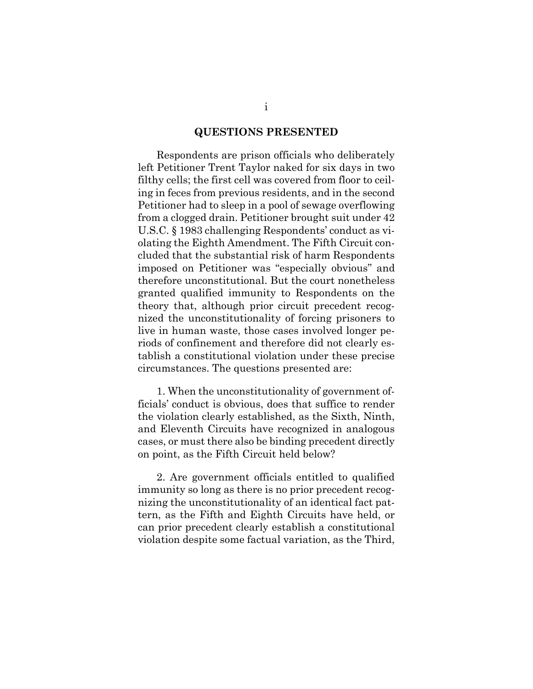#### **QUESTIONS PRESENTED**

Respondents are prison officials who deliberately left Petitioner Trent Taylor naked for six days in two filthy cells; the first cell was covered from floor to ceiling in feces from previous residents, and in the second Petitioner had to sleep in a pool of sewage overflowing from a clogged drain. Petitioner brought suit under 42 U.S.C. § 1983 challenging Respondents' conduct as violating the Eighth Amendment. The Fifth Circuit concluded that the substantial risk of harm Respondents imposed on Petitioner was "especially obvious" and therefore unconstitutional. But the court nonetheless granted qualified immunity to Respondents on the theory that, although prior circuit precedent recognized the unconstitutionality of forcing prisoners to live in human waste, those cases involved longer periods of confinement and therefore did not clearly establish a constitutional violation under these precise circumstances. The questions presented are:

1. When the unconstitutionality of government officials' conduct is obvious, does that suffice to render the violation clearly established, as the Sixth, Ninth, and Eleventh Circuits have recognized in analogous cases, or must there also be binding precedent directly on point, as the Fifth Circuit held below?

2. Are government officials entitled to qualified immunity so long as there is no prior precedent recognizing the unconstitutionality of an identical fact pattern, as the Fifth and Eighth Circuits have held, or can prior precedent clearly establish a constitutional violation despite some factual variation, as the Third,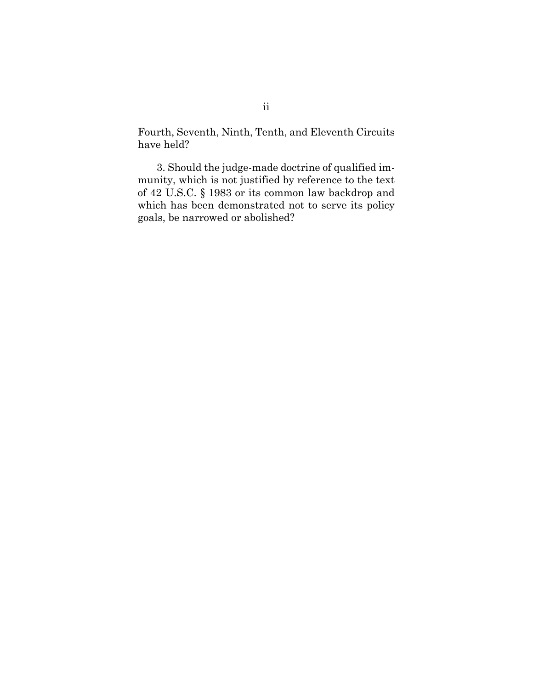Fourth, Seventh, Ninth, Tenth, and Eleventh Circuits have held?

3. Should the judge-made doctrine of qualified immunity, which is not justified by reference to the text of 42 U.S.C. § 1983 or its common law backdrop and which has been demonstrated not to serve its policy goals, be narrowed or abolished?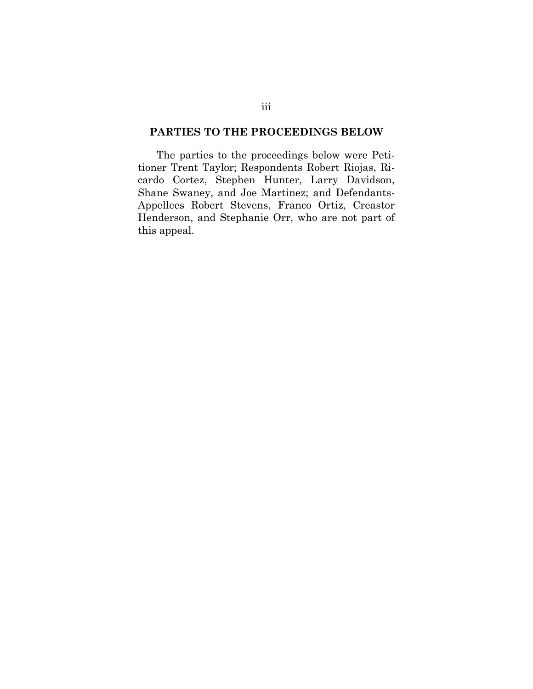#### **PARTIES TO THE PROCEEDINGS BELOW**

The parties to the proceedings below were Petitioner Trent Taylor; Respondents Robert Riojas, Ricardo Cortez, Stephen Hunter, Larry Davidson, Shane Swaney, and Joe Martinez; and Defendants-Appellees Robert Stevens, Franco Ortiz, Creastor Henderson, and Stephanie Orr, who are not part of this appeal.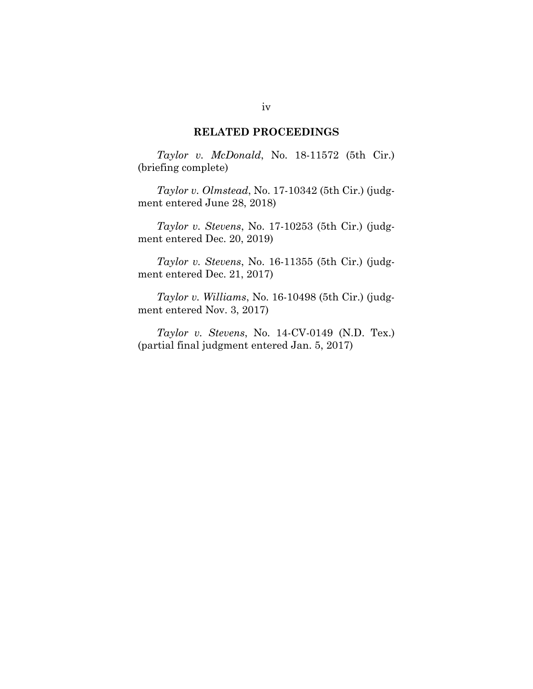#### **RELATED PROCEEDINGS**

*Taylor v. McDonald*, No. 18-11572 (5th Cir.) (briefing complete)

*Taylor v. Olmstead*, No. 17-10342 (5th Cir.) (judgment entered June 28, 2018)

*Taylor v. Stevens*, No. 17-10253 (5th Cir.) (judgment entered Dec. 20, 2019)

*Taylor v. Stevens*, No. 16-11355 (5th Cir.) (judgment entered Dec. 21, 2017)

*Taylor v. Williams*, No. 16-10498 (5th Cir.) (judgment entered Nov. 3, 2017)

*Taylor v. Stevens*, No. 14-CV-0149 (N.D. Tex.) (partial final judgment entered Jan. 5, 2017)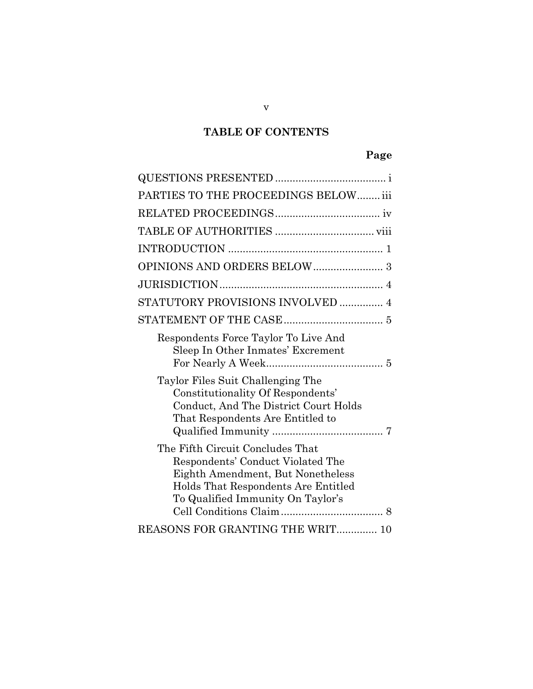# **TABLE OF CONTENTS**

# **Page**

| PARTIES TO THE PROCEEDINGS BELOW iii                                                                                                                                                   |
|----------------------------------------------------------------------------------------------------------------------------------------------------------------------------------------|
|                                                                                                                                                                                        |
|                                                                                                                                                                                        |
|                                                                                                                                                                                        |
|                                                                                                                                                                                        |
|                                                                                                                                                                                        |
| STATUTORY PROVISIONS INVOLVED  4                                                                                                                                                       |
|                                                                                                                                                                                        |
| Respondents Force Taylor To Live And<br>Sleep In Other Inmates' Excrement                                                                                                              |
| Taylor Files Suit Challenging The<br>Constitutionality Of Respondents'<br>Conduct, And The District Court Holds<br>That Respondents Are Entitled to                                    |
| The Fifth Circuit Concludes That<br>Respondents' Conduct Violated The<br>Eighth Amendment, But Nonetheless<br>Holds That Respondents Are Entitled<br>To Qualified Immunity On Taylor's |
| REASONS FOR GRANTING THE WRIT 10                                                                                                                                                       |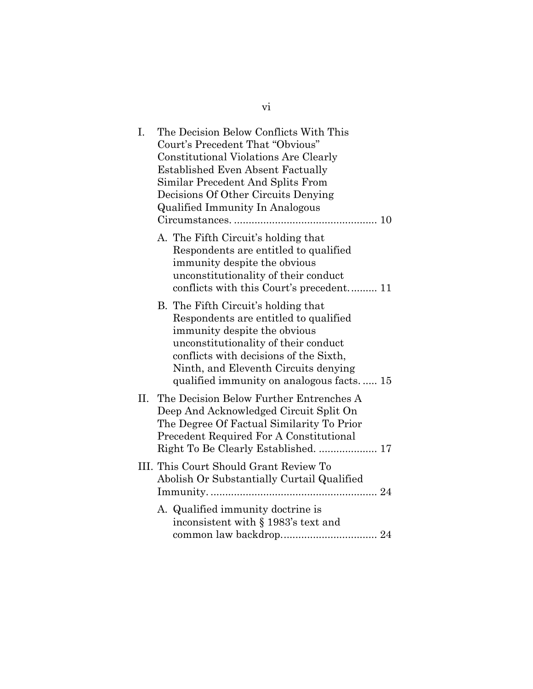| I.  | The Decision Below Conflicts With This<br>Court's Precedent That "Obvious"<br><b>Constitutional Violations Are Clearly</b><br><b>Established Even Absent Factually</b><br>Similar Precedent And Splits From<br>Decisions Of Other Circuits Denying<br>Qualified Immunity In Analogous |
|-----|---------------------------------------------------------------------------------------------------------------------------------------------------------------------------------------------------------------------------------------------------------------------------------------|
|     | A. The Fifth Circuit's holding that<br>Respondents are entitled to qualified<br>immunity despite the obvious<br>unconstitutionality of their conduct                                                                                                                                  |
|     | B. The Fifth Circuit's holding that<br>Respondents are entitled to qualified<br>immunity despite the obvious<br>unconstitutionality of their conduct<br>conflicts with decisions of the Sixth,<br>Ninth, and Eleventh Circuits denying<br>qualified immunity on analogous facts 15    |
| II. | The Decision Below Further Entrenches A<br>Deep And Acknowledged Circuit Split On<br>The Degree Of Factual Similarity To Prior<br>Precedent Required For A Constitutional<br>Right To Be Clearly Established.  17                                                                     |
|     | III. This Court Should Grant Review To<br>Abolish Or Substantially Curtail Qualified                                                                                                                                                                                                  |
|     | A. Qualified immunity doctrine is<br>inconsistent with § 1983's text and                                                                                                                                                                                                              |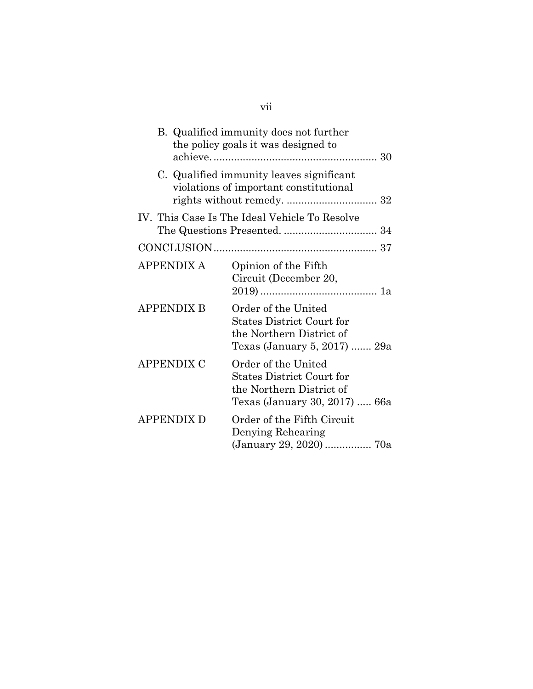|                   | B. Qualified immunity does not further<br>the policy goals it was designed to                                        |
|-------------------|----------------------------------------------------------------------------------------------------------------------|
|                   | C. Qualified immunity leaves significant<br>violations of important constitutional                                   |
|                   | IV. This Case Is The Ideal Vehicle To Resolve                                                                        |
|                   |                                                                                                                      |
| <b>APPENDIX A</b> | Opinion of the Fifth<br>Circuit (December 20,                                                                        |
| <b>APPENDIX B</b> | Order of the United<br><b>States District Court for</b><br>the Northern District of<br>Texas (January 5, 2017)  29a  |
| APPENDIX C        | Order of the United<br><b>States District Court for</b><br>the Northern District of<br>Texas (January 30, 2017)  66a |
| <b>APPENDIX D</b> | Order of the Fifth Circuit<br>Denying Rehearing<br>(January 29, 2020)  70a                                           |

# vii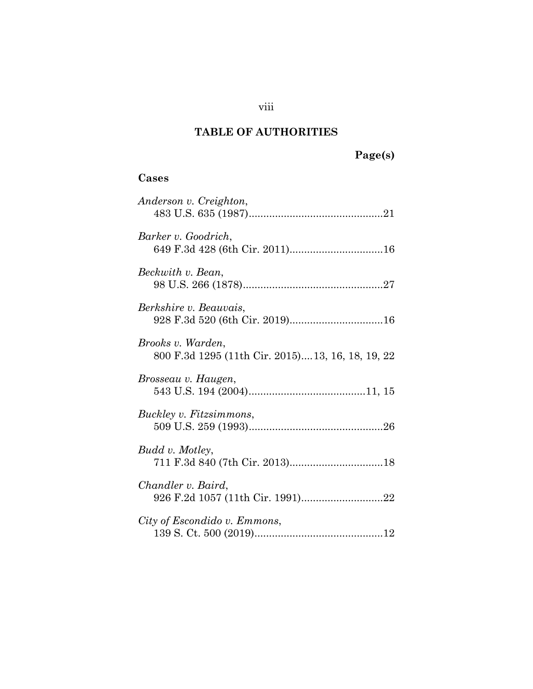## **TABLE OF AUTHORITIES**

## **Cases**

| Anderson v. Creighton,                                                 |
|------------------------------------------------------------------------|
| Barker v. Goodrich,                                                    |
| Beckwith v. Bean,                                                      |
| Berkshire v. Beauvais,<br>928 F.3d 520 (6th Cir. 2019)16               |
| Brooks v. Warden,<br>800 F.3d 1295 (11th Cir. 2015) 13, 16, 18, 19, 22 |
| Brosseau v. Haugen,                                                    |
| Buckley v. Fitzsimmons,                                                |
| Budd v. Motley,                                                        |
| Chandler v. Baird,                                                     |
| City of Escondido v. Emmons,                                           |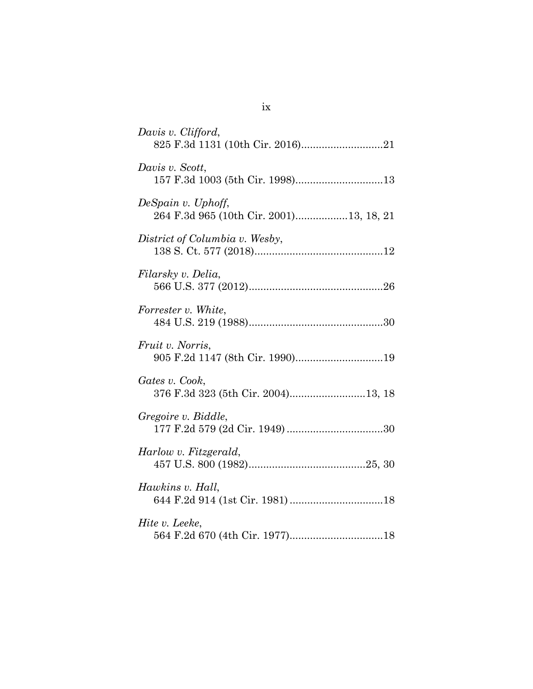| Davis v. Clifford,                                            |
|---------------------------------------------------------------|
| Davis v. Scott,<br>157 F.3d 1003 (5th Cir. 1998)13            |
| DeSpain v. Uphoff,<br>264 F.3d 965 (10th Cir. 2001)13, 18, 21 |
| District of Columbia v. Wesby,                                |
| Filarsky v. Delia,                                            |
| Forrester v. White,                                           |
| Fruit v. Norris,<br>905 F.2d 1147 (8th Cir. 1990)19           |
| Gates v. Cook,<br>376 F.3d 323 (5th Cir. 2004)13, 18          |
| Gregoire v. Biddle,                                           |
| Harlow v. Fitzgerald,                                         |
| Hawkins v. Hall,                                              |
| Hite v. Leeke,                                                |

| m. |   |
|----|---|
|    | ٠ |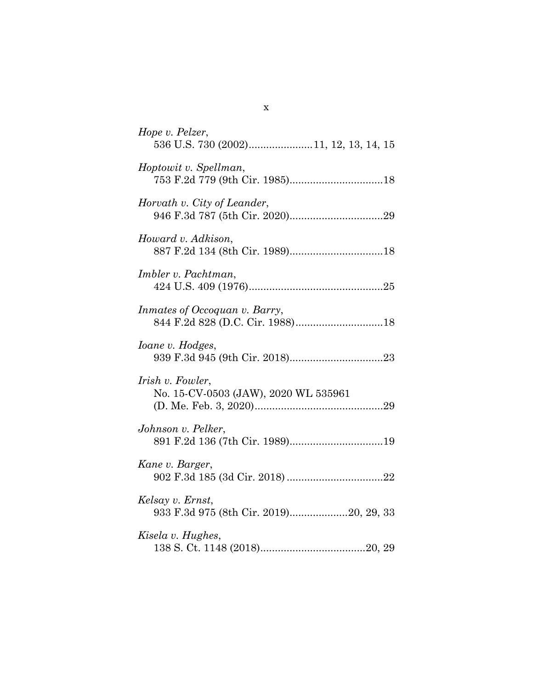| Hope v. Pelzer,<br>536 U.S. 730 (2002)11, 12, 13, 14, 15   |
|------------------------------------------------------------|
| Hoptowit v. Spellman,                                      |
| Horvath v. City of Leander,                                |
| Howard v. Adkison,                                         |
| Imbler v. Pachtman,                                        |
| Inmates of Occoquan v. Barry,                              |
| <i>Ioane v. Hodges,</i>                                    |
| Irish v. Fowler,<br>No. 15-CV-0503 (JAW), 2020 WL 535961   |
| Johnson v. Pelker,<br>891 F.2d 136 (7th Cir. 1989)19       |
| Kane v. Barger,                                            |
| Kelsay v. Ernst,<br>933 F.3d 975 (8th Cir. 2019)20, 29, 33 |
| Kisela v. Hughes,                                          |

x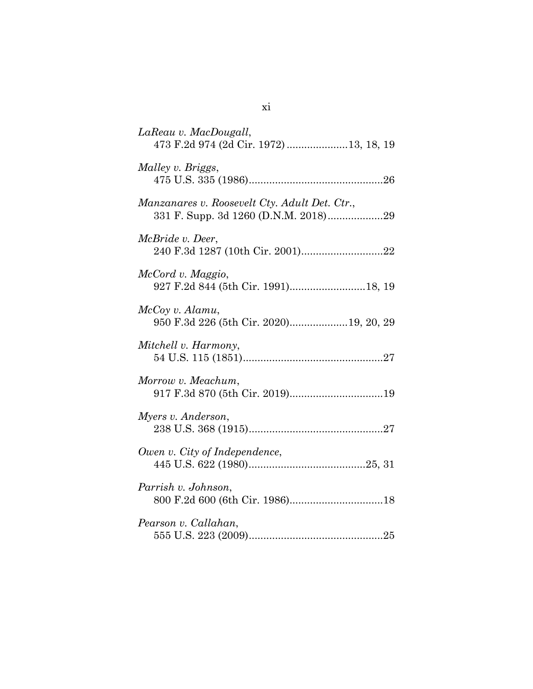| LaReau v. MacDougall,<br>473 F.2d 974 (2d Cir. 1972) 13, 18, 19                       |
|---------------------------------------------------------------------------------------|
| Malley v. Briggs,                                                                     |
| Manzanares v. Roosevelt Cty. Adult Det. Ctr.,<br>331 F. Supp. 3d 1260 (D.N.M. 2018)29 |
| McBride v. Deer,                                                                      |
| McCord v. Maggio,                                                                     |
| McCoy v. Alamu,<br>950 F.3d 226 (5th Cir. 2020)19, 20, 29                             |
| Mitchell v. Harmony,                                                                  |
| Morrow v. Meachum,<br>917 F.3d 870 (5th Cir. 2019)19                                  |
| Myers v. Anderson,                                                                    |
| Owen v. City of Independence,                                                         |
| Parrish v. Johnson,                                                                   |
| Pearson v. Callahan,                                                                  |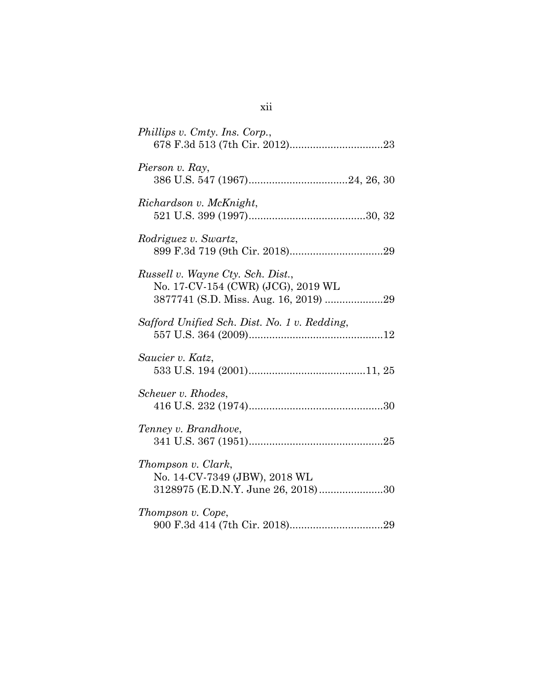| Phillips v. Cmty. Ins. Corp.,                                                                                    |
|------------------------------------------------------------------------------------------------------------------|
| Pierson v. Ray,                                                                                                  |
| Richardson v. McKnight,                                                                                          |
| Rodriguez v. Swartz,                                                                                             |
| Russell v. Wayne Cty. Sch. Dist.,<br>No. 17-CV-154 (CWR) (JCG), 2019 WL<br>3877741 (S.D. Miss. Aug. 16, 2019) 29 |
| Safford Unified Sch. Dist. No. 1 v. Redding,                                                                     |
| Saucier v. Katz,                                                                                                 |
| Scheuer v. Rhodes,                                                                                               |
| Tenney v. Brandhove,                                                                                             |
| Thompson v. Clark,<br>No. 14-CV-7349 (JBW), 2018 WL<br>3128975 (E.D.N.Y. June 26, 2018)30                        |
| Thompson v. Cope,                                                                                                |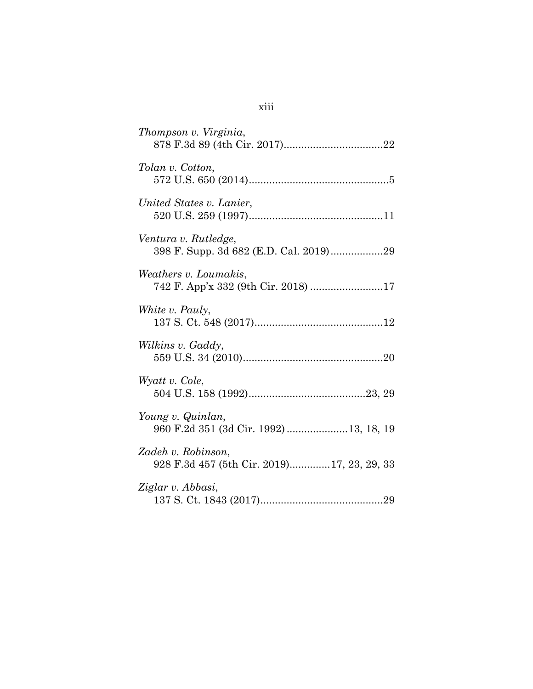| Thompson v. Virginia,                                            |
|------------------------------------------------------------------|
| Tolan v. Cotton,                                                 |
| United States v. Lanier,                                         |
| Ventura v. Rutledge,<br>398 F. Supp. 3d 682 (E.D. Cal. 2019)29   |
| Weathers v. Loumakis,                                            |
| White v. Pauly,                                                  |
| Wilkins v. Gaddy,                                                |
| Wyatt v. Cole,                                                   |
| Young v. Quinlan,<br>960 F.2d 351 (3d Cir. 1992) 13, 18, 19      |
| Zadeh v. Robinson,<br>928 F.3d 457 (5th Cir. 2019)17, 23, 29, 33 |
| Ziglar v. Abbasi,                                                |

# xiii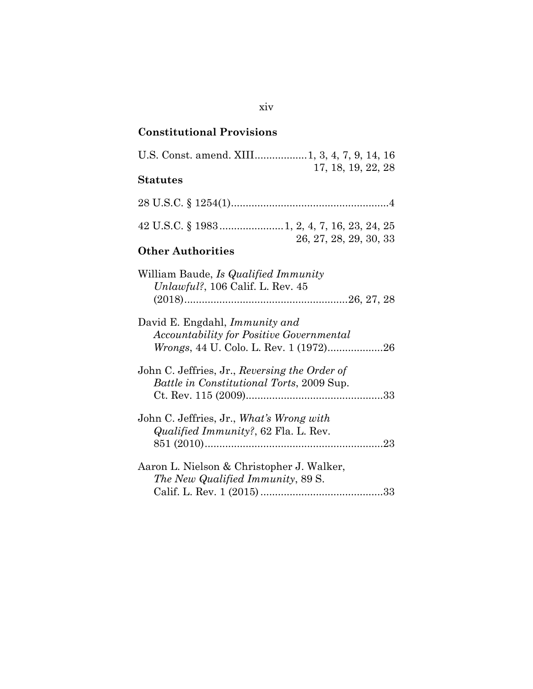## **Constitutional Provisions**

| U.S. Const. amend. XIII 1, 3, 4, 7, 9, 14, 16<br>17, 18, 19, 22, 28                        |
|--------------------------------------------------------------------------------------------|
| <b>Statutes</b>                                                                            |
|                                                                                            |
|                                                                                            |
| 26, 27, 28, 29, 30, 33<br><b>Other Authorities</b>                                         |
| William Baude, <i>Is Qualified Immunity</i><br>Unlawful?, $106$ Calif. L. Rev. $45$        |
| David E. Engdahl, <i>Immunity and</i><br>Accountability for Positive Governmental          |
| John C. Jeffries, Jr., Reversing the Order of<br>Battle in Constitutional Torts, 2009 Sup. |
| John C. Jeffries, Jr., What's Wrong with<br><i>Qualified Immunity?</i> , 62 Fla. L. Rev.   |
| Aaron L. Nielson & Christopher J. Walker,<br>The New Qualified Immunity, 89 S.             |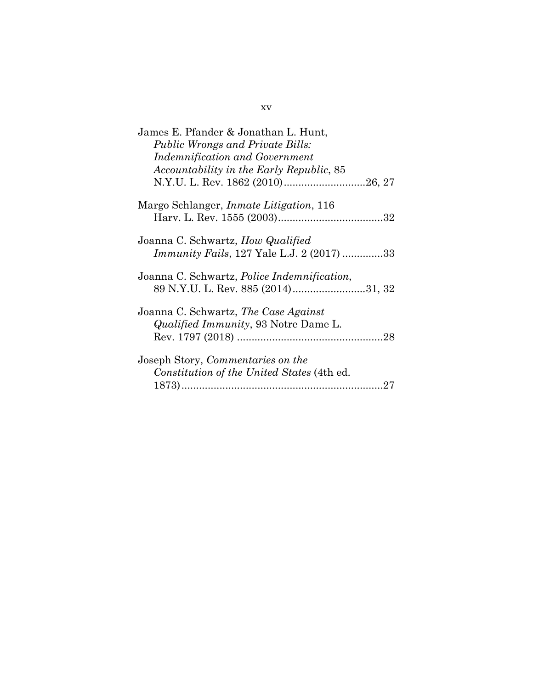| James E. Pfander & Jonathan L. Hunt,<br><b>Public Wrongs and Private Bills:</b><br><b>Indemnification and Government</b> |
|--------------------------------------------------------------------------------------------------------------------------|
| Accountability in the Early Republic, 85                                                                                 |
| Margo Schlanger, <i>Inmate Litigation</i> , 116                                                                          |
| Joanna C. Schwartz, <i>How Qualified</i><br><i>Immunity Fails</i> , 127 Yale L.J. 2 (2017) 33                            |
| Joanna C. Schwartz, <i>Police Indemnification</i> ,<br>89 N.Y.U. L. Rev. 885 (2014)31, 32                                |
| Joanna C. Schwartz, The Case Against<br><i>Qualified Immunity</i> , 93 Notre Dame L.                                     |
| Joseph Story, Commentaries on the<br>Constitution of the United States (4th ed.                                          |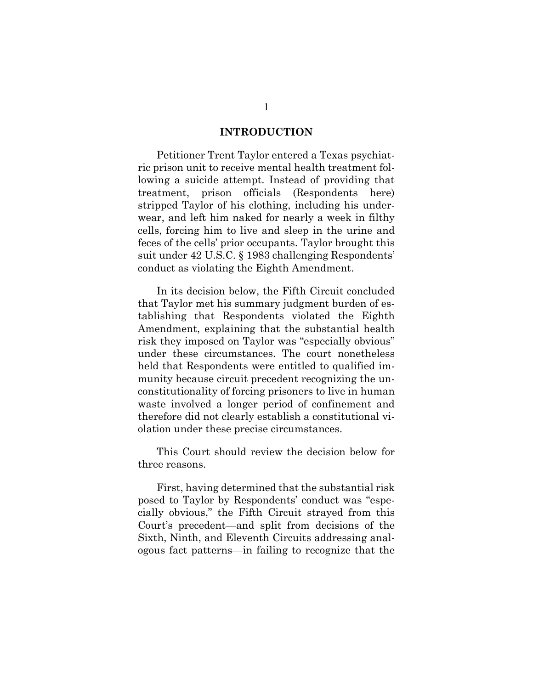#### **INTRODUCTION**

Petitioner Trent Taylor entered a Texas psychiatric prison unit to receive mental health treatment following a suicide attempt. Instead of providing that treatment, prison officials (Respondents here) stripped Taylor of his clothing, including his underwear, and left him naked for nearly a week in filthy cells, forcing him to live and sleep in the urine and feces of the cells' prior occupants. Taylor brought this suit under 42 U.S.C. § 1983 challenging Respondents' conduct as violating the Eighth Amendment.

In its decision below, the Fifth Circuit concluded that Taylor met his summary judgment burden of establishing that Respondents violated the Eighth Amendment, explaining that the substantial health risk they imposed on Taylor was "especially obvious" under these circumstances. The court nonetheless held that Respondents were entitled to qualified immunity because circuit precedent recognizing the unconstitutionality of forcing prisoners to live in human waste involved a longer period of confinement and therefore did not clearly establish a constitutional violation under these precise circumstances.

This Court should review the decision below for three reasons.

First, having determined that the substantial risk posed to Taylor by Respondents' conduct was "especially obvious," the Fifth Circuit strayed from this Court's precedent—and split from decisions of the Sixth, Ninth, and Eleventh Circuits addressing analogous fact patterns—in failing to recognize that the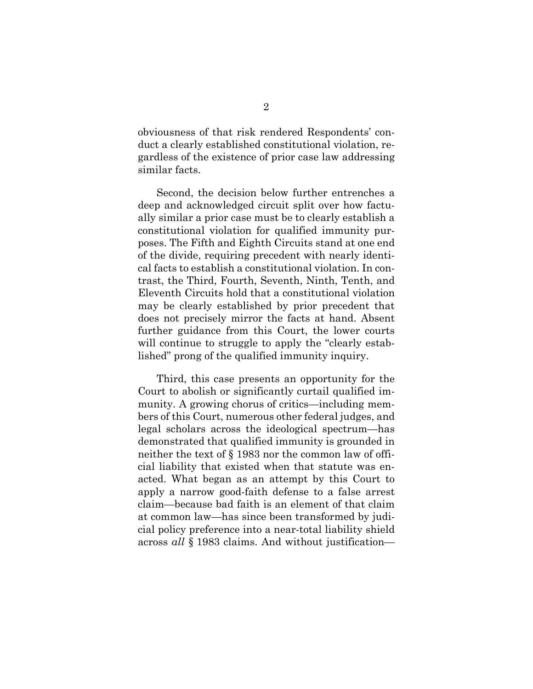obviousness of that risk rendered Respondents' conduct a clearly established constitutional violation, regardless of the existence of prior case law addressing similar facts.

Second, the decision below further entrenches a deep and acknowledged circuit split over how factually similar a prior case must be to clearly establish a constitutional violation for qualified immunity purposes. The Fifth and Eighth Circuits stand at one end of the divide, requiring precedent with nearly identical facts to establish a constitutional violation. In contrast, the Third, Fourth, Seventh, Ninth, Tenth, and Eleventh Circuits hold that a constitutional violation may be clearly established by prior precedent that does not precisely mirror the facts at hand. Absent further guidance from this Court, the lower courts will continue to struggle to apply the "clearly established" prong of the qualified immunity inquiry.

Third, this case presents an opportunity for the Court to abolish or significantly curtail qualified immunity. A growing chorus of critics—including members of this Court, numerous other federal judges, and legal scholars across the ideological spectrum—has demonstrated that qualified immunity is grounded in neither the text of § 1983 nor the common law of official liability that existed when that statute was enacted. What began as an attempt by this Court to apply a narrow good-faith defense to a false arrest claim—because bad faith is an element of that claim at common law—has since been transformed by judicial policy preference into a near-total liability shield across *all* § 1983 claims. And without justification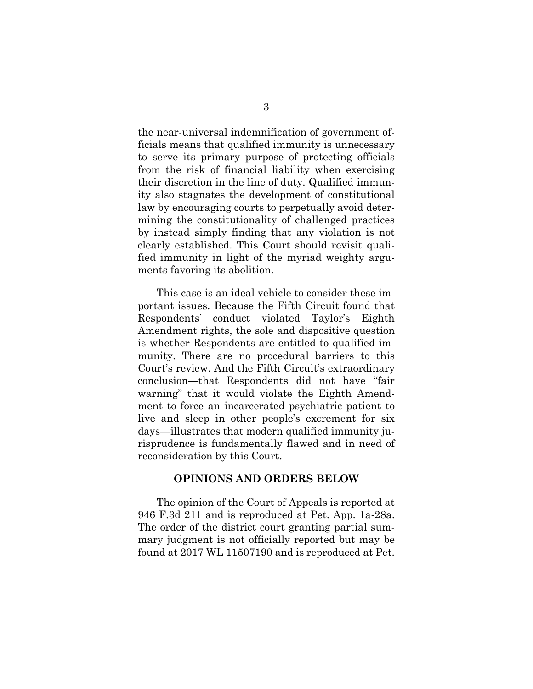the near-universal indemnification of government officials means that qualified immunity is unnecessary to serve its primary purpose of protecting officials from the risk of financial liability when exercising their discretion in the line of duty. Qualified immunity also stagnates the development of constitutional law by encouraging courts to perpetually avoid determining the constitutionality of challenged practices by instead simply finding that any violation is not clearly established. This Court should revisit qualified immunity in light of the myriad weighty arguments favoring its abolition.

This case is an ideal vehicle to consider these important issues. Because the Fifth Circuit found that Respondents' conduct violated Taylor's Eighth Amendment rights, the sole and dispositive question is whether Respondents are entitled to qualified immunity. There are no procedural barriers to this Court's review. And the Fifth Circuit's extraordinary conclusion—that Respondents did not have "fair warning" that it would violate the Eighth Amendment to force an incarcerated psychiatric patient to live and sleep in other people's excrement for six days—illustrates that modern qualified immunity jurisprudence is fundamentally flawed and in need of reconsideration by this Court.

#### **OPINIONS AND ORDERS BELOW**

The opinion of the Court of Appeals is reported at 946 F.3d 211 and is reproduced at Pet. App. 1a-28a. The order of the district court granting partial summary judgment is not officially reported but may be found at 2017 WL 11507190 and is reproduced at Pet.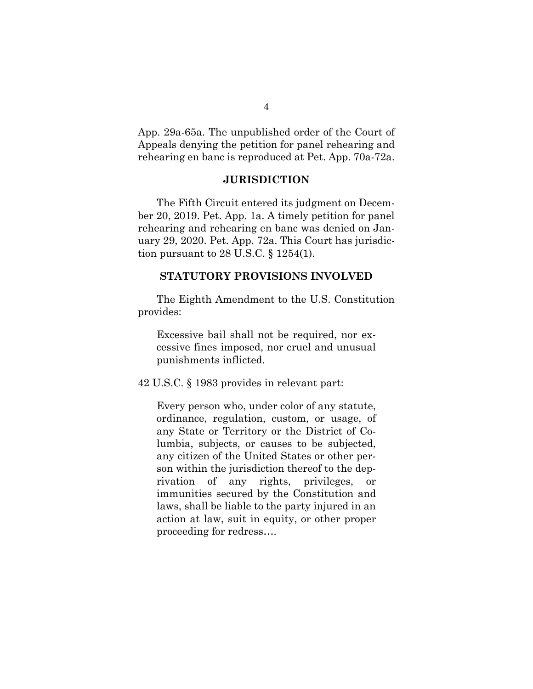App. 29a-65a. The unpublished order of the Court of Appeals denying the petition for panel rehearing and rehearing en banc is reproduced at Pet. App. 70a-72a.

### **JURISDICTION**

The Fifth Circuit entered its judgment on December 20, 2019. Pet. App. 1a. A timely petition for panel rehearing and rehearing en banc was denied on January 29, 2020. Pet. App. 72a. This Court has jurisdiction pursuant to 28 U.S.C. § 1254(1).

### **STATUTORY PROVISIONS INVOLVED**

The Eighth Amendment to the U.S. Constitution provides:

Excessive bail shall not be required, nor excessive fines imposed, nor cruel and unusual punishments inflicted.

42 U.S.C. § 1983 provides in relevant part:

Every person who, under color of any statute, ordinance, regulation, custom, or usage, of any State or Territory or the District of Columbia, subjects, or causes to be subjected, any citizen of the United States or other person within the jurisdiction thereof to the deprivation of any rights, privileges, or immunities secured by the Constitution and laws, shall be liable to the party injured in an action at law, suit in equity, or other proper proceeding for redress….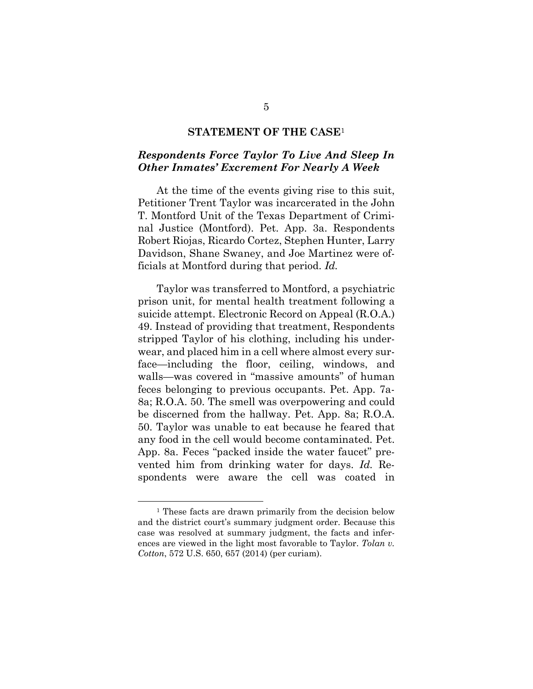#### **STATEMENT OF THE CASE**<sup>1</sup>

### *Respondents Force Taylor To Live And Sleep In Other Inmates' Excrement For Nearly A Week*

At the time of the events giving rise to this suit, Petitioner Trent Taylor was incarcerated in the John T. Montford Unit of the Texas Department of Criminal Justice (Montford). Pet. App. 3a. Respondents Robert Riojas, Ricardo Cortez, Stephen Hunter, Larry Davidson, Shane Swaney, and Joe Martinez were officials at Montford during that period. *Id.*

Taylor was transferred to Montford, a psychiatric prison unit, for mental health treatment following a suicide attempt. Electronic Record on Appeal (R.O.A.) 49. Instead of providing that treatment, Respondents stripped Taylor of his clothing, including his underwear, and placed him in a cell where almost every surface—including the floor, ceiling, windows, and walls—was covered in "massive amounts" of human feces belonging to previous occupants. Pet. App. 7a-8a; R.O.A. 50. The smell was overpowering and could be discerned from the hallway. Pet. App. 8a; R.O.A. 50. Taylor was unable to eat because he feared that any food in the cell would become contaminated. Pet. App. 8a. Feces "packed inside the water faucet" prevented him from drinking water for days. *Id.* Respondents were aware the cell was coated in

<sup>&</sup>lt;sup>1</sup> These facts are drawn primarily from the decision below and the district court's summary judgment order. Because this case was resolved at summary judgment, the facts and inferences are viewed in the light most favorable to Taylor. *Tolan v. Cotton*, 572 U.S. 650, 657 (2014) (per curiam).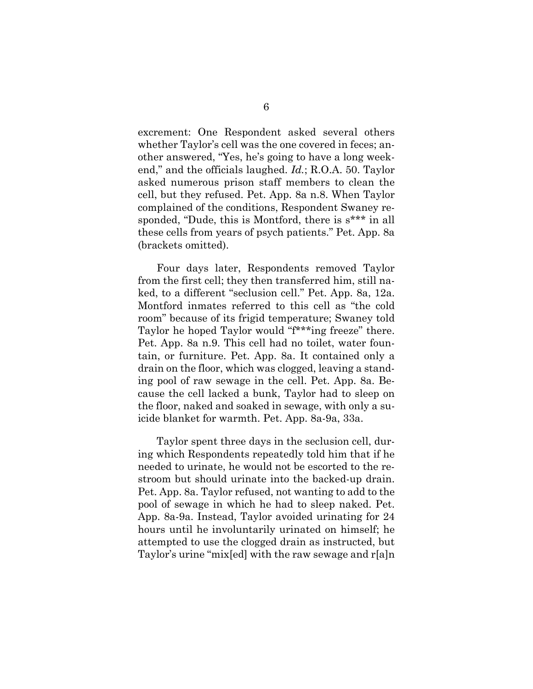excrement: One Respondent asked several others whether Taylor's cell was the one covered in feces; another answered, "Yes, he's going to have a long weekend," and the officials laughed. *Id.*; R.O.A. 50. Taylor asked numerous prison staff members to clean the cell, but they refused. Pet. App. 8a n.8. When Taylor complained of the conditions, Respondent Swaney responded, "Dude, this is Montford, there is s\*\*\* in all these cells from years of psych patients." Pet. App. 8a (brackets omitted).

Four days later, Respondents removed Taylor from the first cell; they then transferred him, still naked, to a different "seclusion cell." Pet. App. 8a, 12a. Montford inmates referred to this cell as "the cold room" because of its frigid temperature; Swaney told Taylor he hoped Taylor would "f\*\*\*ing freeze" there. Pet. App. 8a n.9. This cell had no toilet, water fountain, or furniture. Pet. App. 8a. It contained only a drain on the floor, which was clogged, leaving a standing pool of raw sewage in the cell. Pet. App. 8a. Because the cell lacked a bunk, Taylor had to sleep on the floor, naked and soaked in sewage, with only a suicide blanket for warmth. Pet. App. 8a-9a, 33a.

Taylor spent three days in the seclusion cell, during which Respondents repeatedly told him that if he needed to urinate, he would not be escorted to the restroom but should urinate into the backed-up drain. Pet. App. 8a. Taylor refused, not wanting to add to the pool of sewage in which he had to sleep naked. Pet. App. 8a-9a. Instead, Taylor avoided urinating for 24 hours until he involuntarily urinated on himself; he attempted to use the clogged drain as instructed, but Taylor's urine "mix[ed] with the raw sewage and r[a]n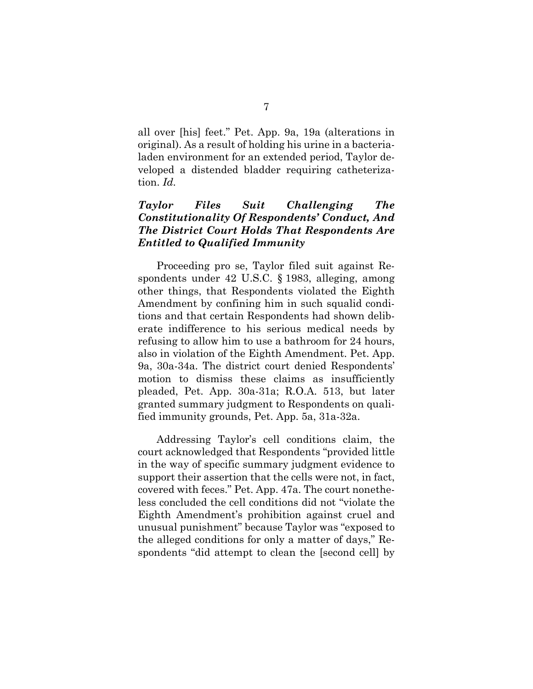all over [his] feet." Pet. App. 9a, 19a (alterations in original). As a result of holding his urine in a bacterialaden environment for an extended period, Taylor developed a distended bladder requiring catheterization. *Id.*

## *Taylor Files Suit Challenging The Constitutionality Of Respondents' Conduct, And The District Court Holds That Respondents Are Entitled to Qualified Immunity*

Proceeding pro se, Taylor filed suit against Respondents under 42 U.S.C. § 1983, alleging, among other things, that Respondents violated the Eighth Amendment by confining him in such squalid conditions and that certain Respondents had shown deliberate indifference to his serious medical needs by refusing to allow him to use a bathroom for 24 hours, also in violation of the Eighth Amendment. Pet. App. 9a, 30a-34a. The district court denied Respondents' motion to dismiss these claims as insufficiently pleaded, Pet. App. 30a-31a; R.O.A. 513, but later granted summary judgment to Respondents on qualified immunity grounds, Pet. App. 5a, 31a-32a.

Addressing Taylor's cell conditions claim, the court acknowledged that Respondents "provided little in the way of specific summary judgment evidence to support their assertion that the cells were not, in fact, covered with feces." Pet. App. 47a. The court nonetheless concluded the cell conditions did not "violate the Eighth Amendment's prohibition against cruel and unusual punishment" because Taylor was "exposed to the alleged conditions for only a matter of days," Respondents "did attempt to clean the [second cell] by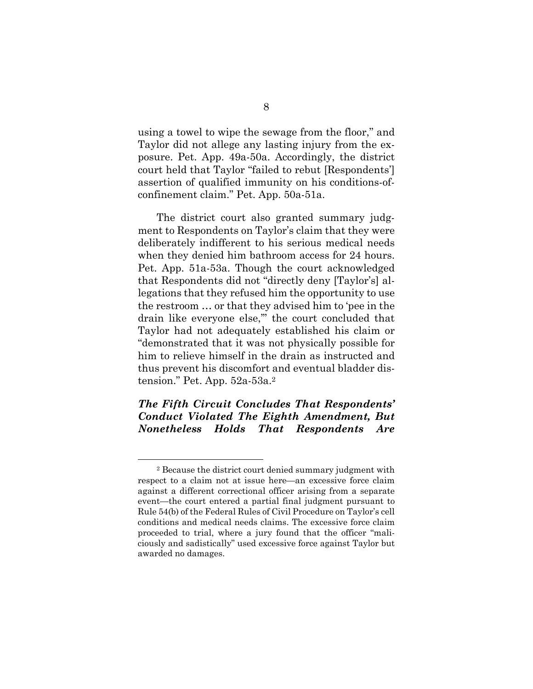using a towel to wipe the sewage from the floor," and Taylor did not allege any lasting injury from the exposure. Pet. App. 49a-50a. Accordingly, the district court held that Taylor "failed to rebut [Respondents'] assertion of qualified immunity on his conditions-ofconfinement claim." Pet. App. 50a-51a.

The district court also granted summary judgment to Respondents on Taylor's claim that they were deliberately indifferent to his serious medical needs when they denied him bathroom access for 24 hours. Pet. App. 51a-53a. Though the court acknowledged that Respondents did not "directly deny [Taylor's] allegations that they refused him the opportunity to use the restroom … or that they advised him to 'pee in the drain like everyone else,'" the court concluded that Taylor had not adequately established his claim or "demonstrated that it was not physically possible for him to relieve himself in the drain as instructed and thus prevent his discomfort and eventual bladder distension." Pet. App. 52a-53a.2

## *The Fifth Circuit Concludes That Respondents' Conduct Violated The Eighth Amendment, But Nonetheless Holds That Respondents Are*

<sup>2</sup> Because the district court denied summary judgment with respect to a claim not at issue here—an excessive force claim against a different correctional officer arising from a separate event—the court entered a partial final judgment pursuant to Rule 54(b) of the Federal Rules of Civil Procedure on Taylor's cell conditions and medical needs claims. The excessive force claim proceeded to trial, where a jury found that the officer "maliciously and sadistically" used excessive force against Taylor but awarded no damages.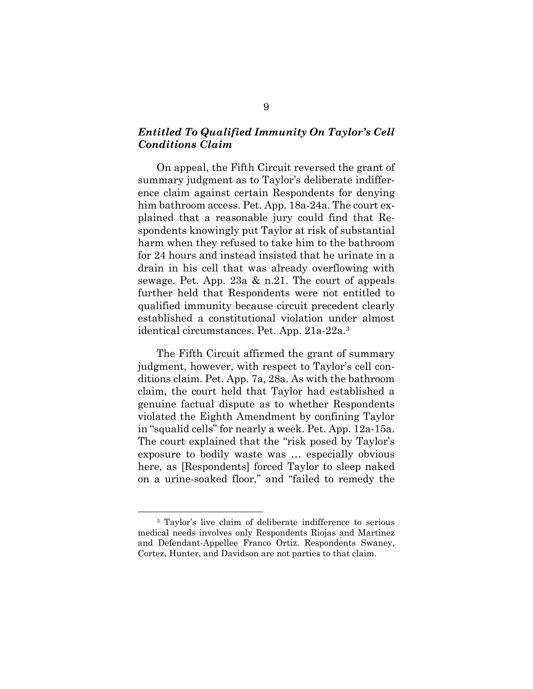## *Entitled To Qualified Immunity On Taylor's Cell Conditions Claim*

On appeal, the Fifth Circuit reversed the grant of summary judgment as to Taylor's deliberate indifference claim against certain Respondents for denying him bathroom access. Pet. App. 18a-24a. The court explained that a reasonable jury could find that Respondents knowingly put Taylor at risk of substantial harm when they refused to take him to the bathroom for 24 hours and instead insisted that he urinate in a drain in his cell that was already overflowing with sewage. Pet. App. 23a & n.21. The court of appeals further held that Respondents were not entitled to qualified immunity because circuit precedent clearly established a constitutional violation under almost identical circumstances. Pet. App. 21a-22a.3

The Fifth Circuit affirmed the grant of summary judgment, however, with respect to Taylor's cell conditions claim. Pet. App. 7a, 28a. As with the bathroom claim, the court held that Taylor had established a genuine factual dispute as to whether Respondents violated the Eighth Amendment by confining Taylor in "squalid cells" for nearly a week. Pet. App. 12a-15a. The court explained that the "risk posed by Taylor's exposure to bodily waste was … especially obvious here, as [Respondents] forced Taylor to sleep naked on a urine-soaked floor," and "failed to remedy the

<sup>3</sup> Taylor's live claim of deliberate indifference to serious medical needs involves only Respondents Riojas and Martinez and Defendant-Appellee Franco Ortiz. Respondents Swaney, Cortez, Hunter, and Davidson are not parties to that claim.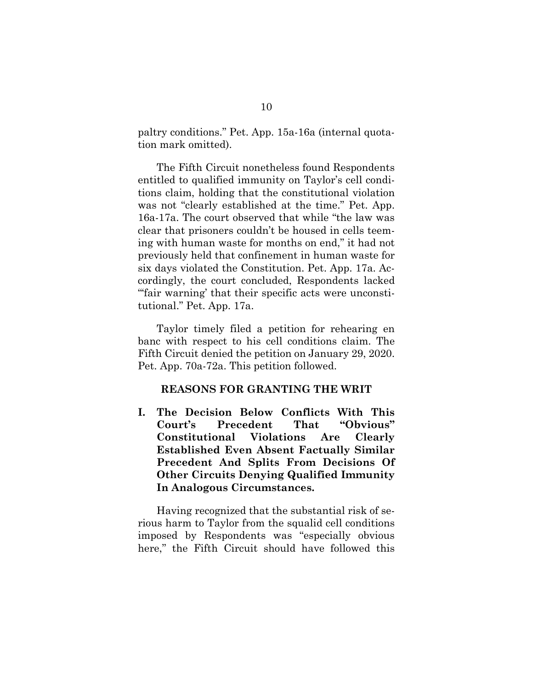paltry conditions." Pet. App. 15a-16a (internal quotation mark omitted).

The Fifth Circuit nonetheless found Respondents entitled to qualified immunity on Taylor's cell conditions claim, holding that the constitutional violation was not "clearly established at the time." Pet. App. 16a-17a. The court observed that while "the law was clear that prisoners couldn't be housed in cells teeming with human waste for months on end," it had not previously held that confinement in human waste for six days violated the Constitution. Pet. App. 17a. Accordingly, the court concluded, Respondents lacked "fair warning' that their specific acts were unconstitutional." Pet. App. 17a.

Taylor timely filed a petition for rehearing en banc with respect to his cell conditions claim. The Fifth Circuit denied the petition on January 29, 2020. Pet. App. 70a-72a. This petition followed.

### **REASONS FOR GRANTING THE WRIT**

**I. The Decision Below Conflicts With This Court's Precedent That "Obvious" Constitutional Violations Are Clearly Established Even Absent Factually Similar Precedent And Splits From Decisions Of Other Circuits Denying Qualified Immunity In Analogous Circumstances.** 

Having recognized that the substantial risk of serious harm to Taylor from the squalid cell conditions imposed by Respondents was "especially obvious here," the Fifth Circuit should have followed this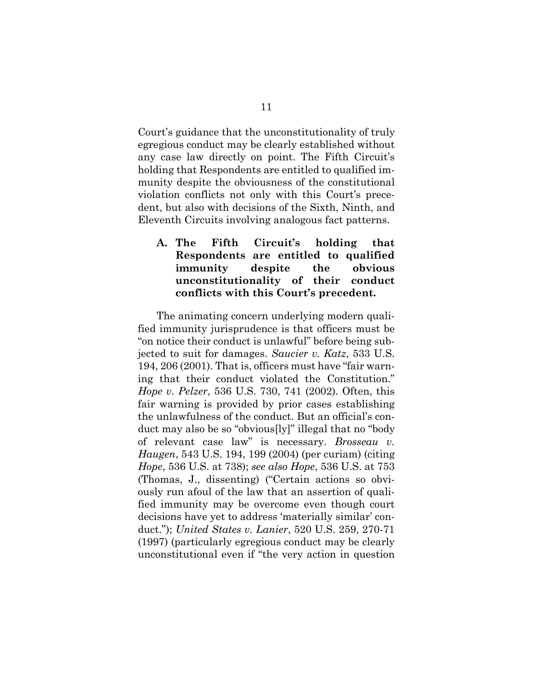Court's guidance that the unconstitutionality of truly egregious conduct may be clearly established without any case law directly on point. The Fifth Circuit's holding that Respondents are entitled to qualified immunity despite the obviousness of the constitutional violation conflicts not only with this Court's precedent, but also with decisions of the Sixth, Ninth, and Eleventh Circuits involving analogous fact patterns.

## **A. The Fifth Circuit's holding that Respondents are entitled to qualified immunity despite the obvious unconstitutionality of their conduct conflicts with this Court's precedent.**

The animating concern underlying modern qualified immunity jurisprudence is that officers must be "on notice their conduct is unlawful" before being subjected to suit for damages. *Saucier v. Katz*, 533 U.S. 194, 206 (2001). That is, officers must have "fair warning that their conduct violated the Constitution." *Hope v. Pelzer*, 536 U.S. 730, 741 (2002). Often, this fair warning is provided by prior cases establishing the unlawfulness of the conduct. But an official's conduct may also be so "obvious[ly]" illegal that no "body of relevant case law" is necessary. *Brosseau v. Haugen*, 543 U.S. 194, 199 (2004) (per curiam) (citing *Hope*, 536 U.S. at 738); *see also Hope*, 536 U.S. at 753 (Thomas, J., dissenting) ("Certain actions so obviously run afoul of the law that an assertion of qualified immunity may be overcome even though court decisions have yet to address 'materially similar' conduct."); *United States v. Lanier*, 520 U.S. 259, 270-71 (1997) (particularly egregious conduct may be clearly unconstitutional even if "the very action in question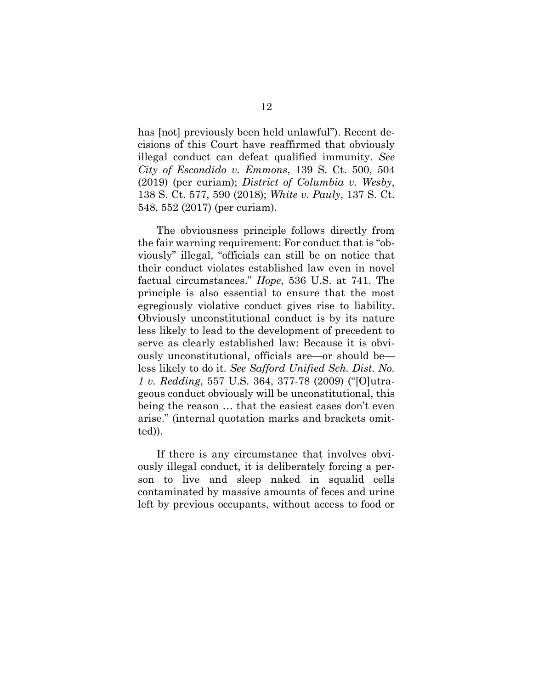has [not] previously been held unlawful"). Recent decisions of this Court have reaffirmed that obviously illegal conduct can defeat qualified immunity. *See City of Escondido v. Emmons*, 139 S. Ct. 500, 504 (2019) (per curiam); *District of Columbia v. Wesby*, 138 S. Ct. 577, 590 (2018); *White v. Pauly*, 137 S. Ct. 548, 552 (2017) (per curiam).

The obviousness principle follows directly from the fair warning requirement: For conduct that is "obviously" illegal, "officials can still be on notice that their conduct violates established law even in novel factual circumstances." *Hope*, 536 U.S. at 741. The principle is also essential to ensure that the most egregiously violative conduct gives rise to liability. Obviously unconstitutional conduct is by its nature less likely to lead to the development of precedent to serve as clearly established law: Because it is obviously unconstitutional, officials are—or should be less likely to do it. *See Safford Unified Sch. Dist. No. 1 v. Redding*, 557 U.S. 364, 377-78 (2009) ("[O]utrageous conduct obviously will be unconstitutional, this being the reason … that the easiest cases don't even arise." (internal quotation marks and brackets omitted)).

If there is any circumstance that involves obviously illegal conduct, it is deliberately forcing a person to live and sleep naked in squalid cells contaminated by massive amounts of feces and urine left by previous occupants, without access to food or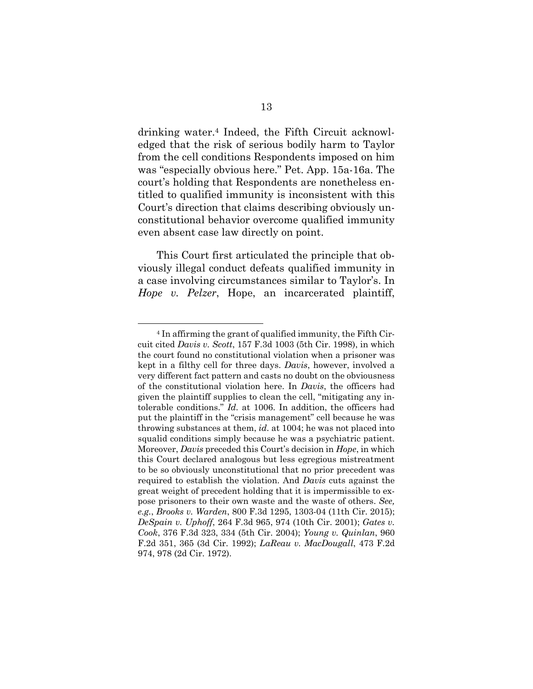drinking water.4 Indeed, the Fifth Circuit acknowledged that the risk of serious bodily harm to Taylor from the cell conditions Respondents imposed on him was "especially obvious here." Pet. App. 15a-16a. The court's holding that Respondents are nonetheless entitled to qualified immunity is inconsistent with this Court's direction that claims describing obviously unconstitutional behavior overcome qualified immunity even absent case law directly on point.

This Court first articulated the principle that obviously illegal conduct defeats qualified immunity in a case involving circumstances similar to Taylor's. In *Hope v. Pelzer*, Hope, an incarcerated plaintiff,

<sup>4</sup> In affirming the grant of qualified immunity, the Fifth Circuit cited *Davis v. Scott*, 157 F.3d 1003 (5th Cir. 1998), in which the court found no constitutional violation when a prisoner was kept in a filthy cell for three days. *Davis*, however, involved a very different fact pattern and casts no doubt on the obviousness of the constitutional violation here. In *Davis*, the officers had given the plaintiff supplies to clean the cell, "mitigating any intolerable conditions." *Id.* at 1006. In addition, the officers had put the plaintiff in the "crisis management" cell because he was throwing substances at them, *id.* at 1004; he was not placed into squalid conditions simply because he was a psychiatric patient. Moreover, *Davis* preceded this Court's decision in *Hope*, in which this Court declared analogous but less egregious mistreatment to be so obviously unconstitutional that no prior precedent was required to establish the violation. And *Davis* cuts against the great weight of precedent holding that it is impermissible to expose prisoners to their own waste and the waste of others. *See, e.g.*, *Brooks v. Warden*, 800 F.3d 1295, 1303-04 (11th Cir. 2015); *DeSpain v. Uphoff*, 264 F.3d 965, 974 (10th Cir. 2001); *Gates v. Cook*, 376 F.3d 323, 334 (5th Cir. 2004); *Young v. Quinlan*, 960 F.2d 351, 365 (3d Cir. 1992); *LaReau v. MacDougall*, 473 F.2d 974, 978 (2d Cir. 1972).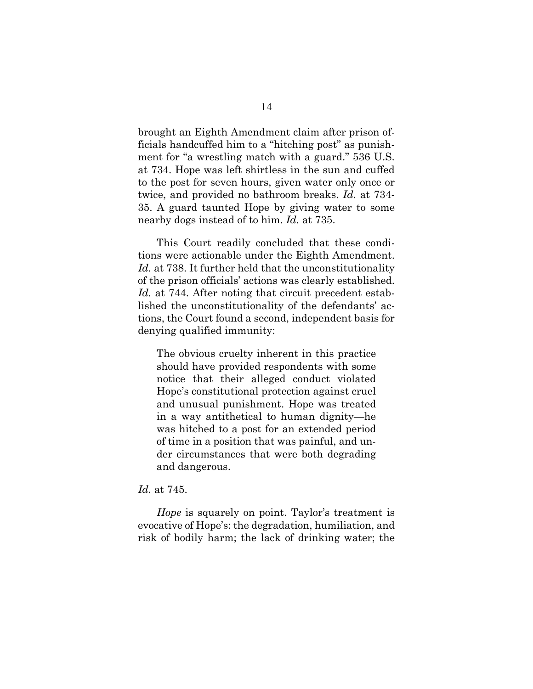brought an Eighth Amendment claim after prison officials handcuffed him to a "hitching post" as punishment for "a wrestling match with a guard." 536 U.S. at 734. Hope was left shirtless in the sun and cuffed to the post for seven hours, given water only once or twice, and provided no bathroom breaks. *Id.* at 734- 35. A guard taunted Hope by giving water to some nearby dogs instead of to him. *Id.* at 735.

This Court readily concluded that these conditions were actionable under the Eighth Amendment. *Id.* at 738. It further held that the unconstitutionality of the prison officials' actions was clearly established. Id. at 744. After noting that circuit precedent established the unconstitutionality of the defendants' actions, the Court found a second, independent basis for denying qualified immunity:

The obvious cruelty inherent in this practice should have provided respondents with some notice that their alleged conduct violated Hope's constitutional protection against cruel and unusual punishment. Hope was treated in a way antithetical to human dignity—he was hitched to a post for an extended period of time in a position that was painful, and under circumstances that were both degrading and dangerous.

#### *Id.* at 745.

*Hope* is squarely on point. Taylor's treatment is evocative of Hope's: the degradation, humiliation, and risk of bodily harm; the lack of drinking water; the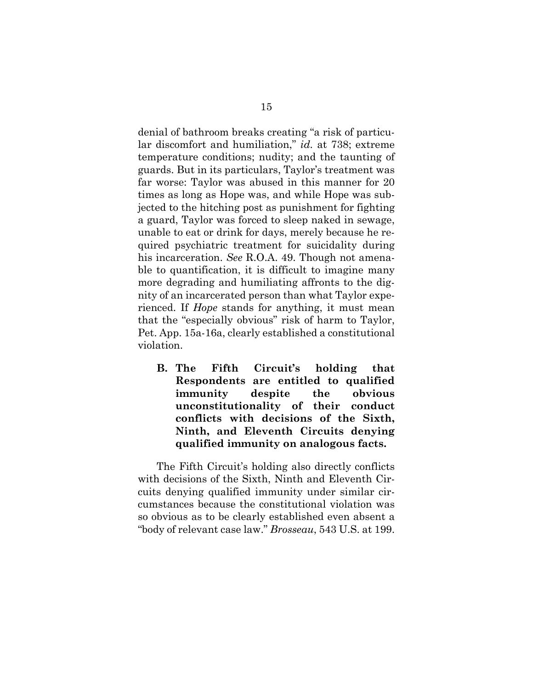denial of bathroom breaks creating "a risk of particular discomfort and humiliation," *id.* at 738; extreme temperature conditions; nudity; and the taunting of guards. But in its particulars, Taylor's treatment was far worse: Taylor was abused in this manner for 20 times as long as Hope was, and while Hope was subjected to the hitching post as punishment for fighting a guard, Taylor was forced to sleep naked in sewage, unable to eat or drink for days, merely because he required psychiatric treatment for suicidality during his incarceration. *See* R.O.A. 49. Though not amenable to quantification, it is difficult to imagine many more degrading and humiliating affronts to the dignity of an incarcerated person than what Taylor experienced. If *Hope* stands for anything, it must mean that the "especially obvious" risk of harm to Taylor, Pet. App. 15a-16a, clearly established a constitutional violation.

**B. The Fifth Circuit's holding that Respondents are entitled to qualified immunity despite the obvious unconstitutionality of their conduct conflicts with decisions of the Sixth, Ninth, and Eleventh Circuits denying qualified immunity on analogous facts.** 

The Fifth Circuit's holding also directly conflicts with decisions of the Sixth, Ninth and Eleventh Circuits denying qualified immunity under similar circumstances because the constitutional violation was so obvious as to be clearly established even absent a "body of relevant case law." *Brosseau*, 543 U.S. at 199.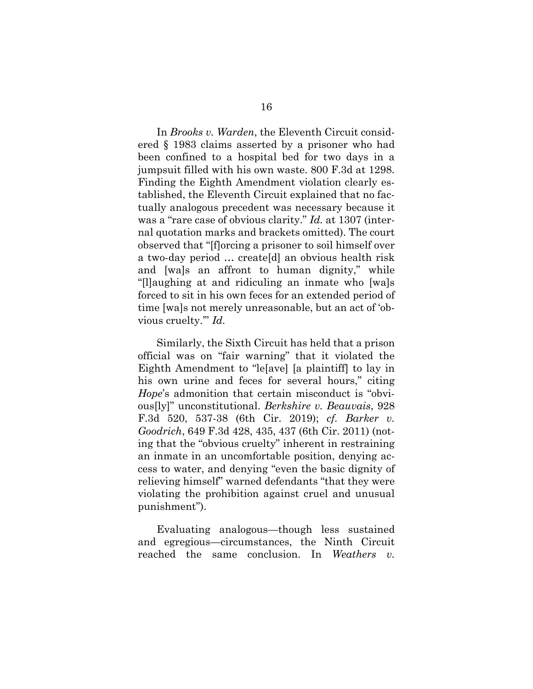In *Brooks v. Warden*, the Eleventh Circuit considered § 1983 claims asserted by a prisoner who had been confined to a hospital bed for two days in a jumpsuit filled with his own waste. 800 F.3d at 1298. Finding the Eighth Amendment violation clearly established, the Eleventh Circuit explained that no factually analogous precedent was necessary because it was a "rare case of obvious clarity." *Id.* at 1307 (internal quotation marks and brackets omitted). The court observed that "[f]orcing a prisoner to soil himself over a two-day period … create[d] an obvious health risk and [wa]s an affront to human dignity," while "[l]aughing at and ridiculing an inmate who [wa]s forced to sit in his own feces for an extended period of time [wa]s not merely unreasonable, but an act of 'obvious cruelty.'" *Id.*

Similarly, the Sixth Circuit has held that a prison official was on "fair warning" that it violated the Eighth Amendment to "le[ave] [a plaintiff] to lay in his own urine and feces for several hours," citing *Hope*'s admonition that certain misconduct is "obvious[ly]" unconstitutional. *Berkshire v. Beauvais*, 928 F.3d 520, 537-38 (6th Cir. 2019); *cf. Barker v. Goodrich*, 649 F.3d 428, 435, 437 (6th Cir. 2011) (noting that the "obvious cruelty" inherent in restraining an inmate in an uncomfortable position, denying access to water, and denying "even the basic dignity of relieving himself" warned defendants "that they were violating the prohibition against cruel and unusual punishment").

Evaluating analogous—though less sustained and egregious—circumstances, the Ninth Circuit reached the same conclusion. In *Weathers v.*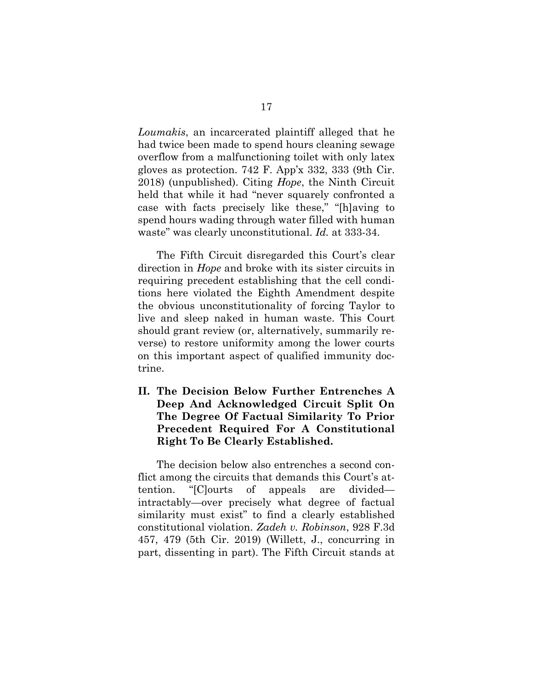*Loumakis*, an incarcerated plaintiff alleged that he had twice been made to spend hours cleaning sewage overflow from a malfunctioning toilet with only latex gloves as protection. 742 F. App'x 332, 333 (9th Cir. 2018) (unpublished). Citing *Hope*, the Ninth Circuit held that while it had "never squarely confronted a case with facts precisely like these," "[h]aving to spend hours wading through water filled with human waste" was clearly unconstitutional. *Id.* at 333-34.

The Fifth Circuit disregarded this Court's clear direction in *Hope* and broke with its sister circuits in requiring precedent establishing that the cell conditions here violated the Eighth Amendment despite the obvious unconstitutionality of forcing Taylor to live and sleep naked in human waste. This Court should grant review (or, alternatively, summarily reverse) to restore uniformity among the lower courts on this important aspect of qualified immunity doctrine.

**II. The Decision Below Further Entrenches A Deep And Acknowledged Circuit Split On The Degree Of Factual Similarity To Prior Precedent Required For A Constitutional Right To Be Clearly Established.** 

The decision below also entrenches a second conflict among the circuits that demands this Court's attention. "[C]ourts of appeals are divided intractably—over precisely what degree of factual similarity must exist" to find a clearly established constitutional violation. *Zadeh v. Robinson*, 928 F.3d 457, 479 (5th Cir. 2019) (Willett, J., concurring in part, dissenting in part). The Fifth Circuit stands at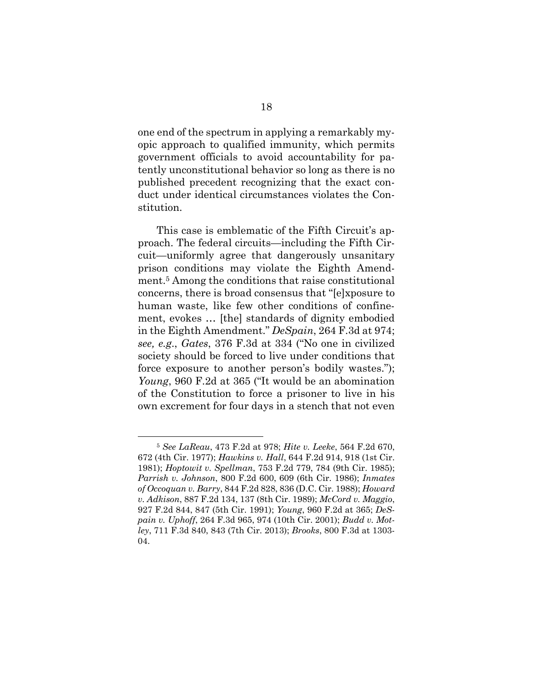one end of the spectrum in applying a remarkably myopic approach to qualified immunity, which permits government officials to avoid accountability for patently unconstitutional behavior so long as there is no published precedent recognizing that the exact conduct under identical circumstances violates the Constitution.

This case is emblematic of the Fifth Circuit's approach. The federal circuits—including the Fifth Circuit—uniformly agree that dangerously unsanitary prison conditions may violate the Eighth Amendment.5 Among the conditions that raise constitutional concerns, there is broad consensus that "[e]xposure to human waste, like few other conditions of confinement, evokes … [the] standards of dignity embodied in the Eighth Amendment." *DeSpain*, 264 F.3d at 974; *see, e.g*., *Gates*, 376 F.3d at 334 ("No one in civilized society should be forced to live under conditions that force exposure to another person's bodily wastes."); *Young*, 960 F.2d at 365 ("It would be an abomination of the Constitution to force a prisoner to live in his own excrement for four days in a stench that not even

<sup>5</sup> *See LaReau*, 473 F.2d at 978; *Hite v. Leeke*, 564 F.2d 670, 672 (4th Cir. 1977); *Hawkins v. Hall*, 644 F.2d 914, 918 (1st Cir. 1981); *Hoptowit v. Spellman*, 753 F.2d 779, 784 (9th Cir. 1985); *Parrish v. Johnson*, 800 F.2d 600, 609 (6th Cir. 1986); *Inmates of Occoquan v. Barry*, 844 F.2d 828, 836 (D.C. Cir. 1988); *Howard v. Adkison*, 887 F.2d 134, 137 (8th Cir. 1989); *McCord v. Maggio*, 927 F.2d 844, 847 (5th Cir. 1991); *Young*, 960 F.2d at 365; *DeSpain v. Uphoff*, 264 F.3d 965, 974 (10th Cir. 2001); *Budd v. Motley*, 711 F.3d 840, 843 (7th Cir. 2013); *Brooks*, 800 F.3d at 1303- 04.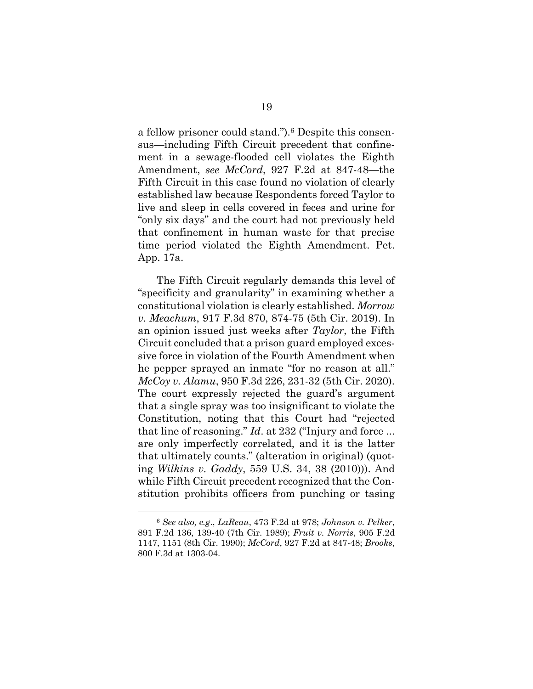a fellow prisoner could stand.").6 Despite this consensus—including Fifth Circuit precedent that confinement in a sewage-flooded cell violates the Eighth Amendment, *see McCord*, 927 F.2d at 847-48—the Fifth Circuit in this case found no violation of clearly established law because Respondents forced Taylor to live and sleep in cells covered in feces and urine for "only six days" and the court had not previously held that confinement in human waste for that precise time period violated the Eighth Amendment. Pet. App. 17a.

The Fifth Circuit regularly demands this level of "specificity and granularity" in examining whether a constitutional violation is clearly established. *Morrow v. Meachum*, 917 F.3d 870, 874-75 (5th Cir. 2019). In an opinion issued just weeks after *Taylor*, the Fifth Circuit concluded that a prison guard employed excessive force in violation of the Fourth Amendment when he pepper sprayed an inmate "for no reason at all." *McCoy v. Alamu*, 950 F.3d 226, 231-32 (5th Cir. 2020). The court expressly rejected the guard's argument that a single spray was too insignificant to violate the Constitution, noting that this Court had "rejected that line of reasoning." *Id*. at 232 ("Injury and force ... are only imperfectly correlated, and it is the latter that ultimately counts." (alteration in original) (quoting *Wilkins v. Gaddy*, 559 U.S. 34, 38 (2010))). And while Fifth Circuit precedent recognized that the Constitution prohibits officers from punching or tasing

<sup>6</sup> *See also, e.g*., *LaReau*, 473 F.2d at 978; *Johnson v. Pelker*, 891 F.2d 136, 139-40 (7th Cir. 1989); *Fruit v. Norris*, 905 F.2d 1147, 1151 (8th Cir. 1990); *McCord*, 927 F.2d at 847-48; *Brooks*, 800 F.3d at 1303-04.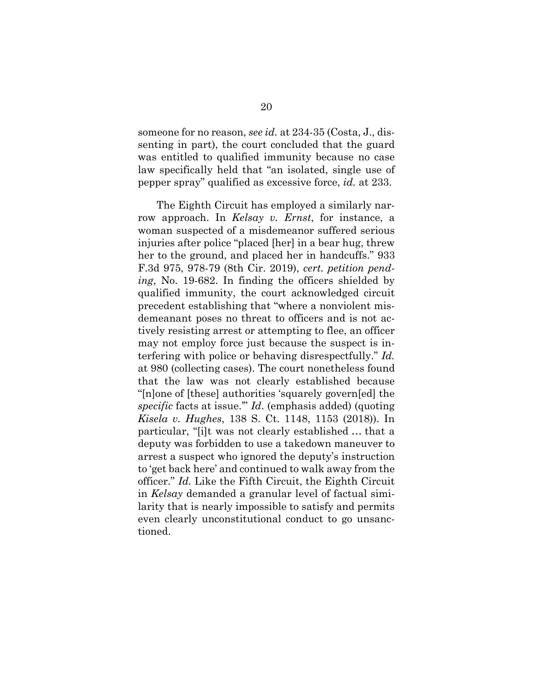someone for no reason, *see id.* at 234-35 (Costa, J., dissenting in part), the court concluded that the guard was entitled to qualified immunity because no case law specifically held that "an isolated, single use of pepper spray" qualified as excessive force, *id.* at 233.

The Eighth Circuit has employed a similarly narrow approach. In *Kelsay v. Ernst*, for instance, a woman suspected of a misdemeanor suffered serious injuries after police "placed [her] in a bear hug, threw her to the ground, and placed her in handcuffs." 933 F.3d 975, 978-79 (8th Cir. 2019), *cert. petition pending*, No. 19-682. In finding the officers shielded by qualified immunity, the court acknowledged circuit precedent establishing that "where a nonviolent misdemeanant poses no threat to officers and is not actively resisting arrest or attempting to flee, an officer may not employ force just because the suspect is interfering with police or behaving disrespectfully." *Id.* at 980 (collecting cases). The court nonetheless found that the law was not clearly established because "[n]one of [these] authorities 'squarely govern[ed] the *specific* facts at issue.'" *Id*. (emphasis added) (quoting *Kisela v. Hughes*, 138 S. Ct. 1148, 1153 (2018)). In particular, "[i]t was not clearly established … that a deputy was forbidden to use a takedown maneuver to arrest a suspect who ignored the deputy's instruction to 'get back here' and continued to walk away from the officer." *Id.* Like the Fifth Circuit, the Eighth Circuit in *Kelsay* demanded a granular level of factual similarity that is nearly impossible to satisfy and permits even clearly unconstitutional conduct to go unsanctioned.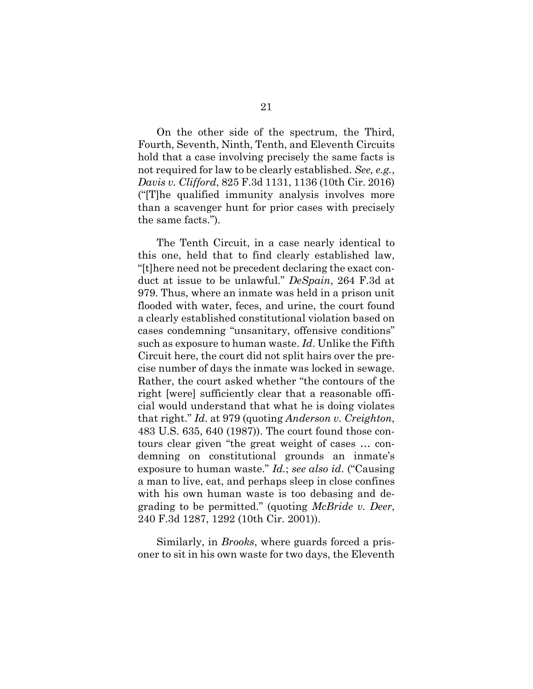On the other side of the spectrum, the Third, Fourth, Seventh, Ninth, Tenth, and Eleventh Circuits hold that a case involving precisely the same facts is not required for law to be clearly established. *See, e.g.*, *Davis v. Clifford*, 825 F.3d 1131, 1136 (10th Cir. 2016) ("[T]he qualified immunity analysis involves more than a scavenger hunt for prior cases with precisely the same facts.").

The Tenth Circuit, in a case nearly identical to this one, held that to find clearly established law, "[t]here need not be precedent declaring the exact conduct at issue to be unlawful." *DeSpain*, 264 F.3d at 979. Thus, where an inmate was held in a prison unit flooded with water, feces, and urine, the court found a clearly established constitutional violation based on cases condemning "unsanitary, offensive conditions" such as exposure to human waste. *Id*. Unlike the Fifth Circuit here, the court did not split hairs over the precise number of days the inmate was locked in sewage. Rather, the court asked whether "the contours of the right [were] sufficiently clear that a reasonable official would understand that what he is doing violates that right." *Id*. at 979 (quoting *Anderson v. Creighton*, 483 U.S. 635, 640 (1987)). The court found those contours clear given "the great weight of cases … condemning on constitutional grounds an inmate's exposure to human waste." *Id.*; *see also id*. ("Causing a man to live, eat, and perhaps sleep in close confines with his own human waste is too debasing and degrading to be permitted." (quoting *McBride v. Deer*, 240 F.3d 1287, 1292 (10th Cir. 2001)).

Similarly, in *Brooks*, where guards forced a prisoner to sit in his own waste for two days, the Eleventh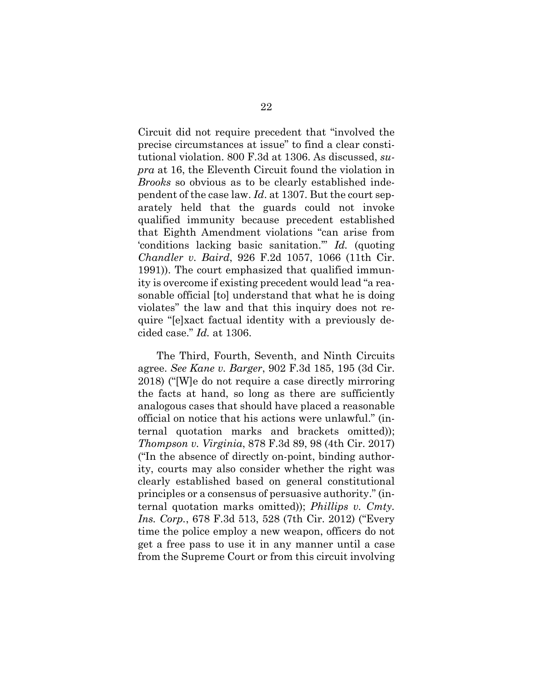Circuit did not require precedent that "involved the precise circumstances at issue" to find a clear constitutional violation. 800 F.3d at 1306. As discussed, *supra* at 16, the Eleventh Circuit found the violation in *Brooks* so obvious as to be clearly established independent of the case law. *Id*. at 1307. But the court separately held that the guards could not invoke qualified immunity because precedent established that Eighth Amendment violations "can arise from 'conditions lacking basic sanitation.'" *Id.* (quoting *Chandler v. Baird*, 926 F.2d 1057, 1066 (11th Cir. 1991)). The court emphasized that qualified immunity is overcome if existing precedent would lead "a reasonable official [to] understand that what he is doing violates" the law and that this inquiry does not require "[e]xact factual identity with a previously decided case." *Id.* at 1306.

The Third, Fourth, Seventh, and Ninth Circuits agree. *See Kane v. Barger*, 902 F.3d 185, 195 (3d Cir. 2018) ("[W]e do not require a case directly mirroring the facts at hand, so long as there are sufficiently analogous cases that should have placed a reasonable official on notice that his actions were unlawful." (internal quotation marks and brackets omitted)); *Thompson v. Virginia*, 878 F.3d 89, 98 (4th Cir. 2017) ("In the absence of directly on-point, binding authority, courts may also consider whether the right was clearly established based on general constitutional principles or a consensus of persuasive authority." (internal quotation marks omitted)); *Phillips v. Cmty. Ins. Corp.*, 678 F.3d 513, 528 (7th Cir. 2012) ("Every time the police employ a new weapon, officers do not get a free pass to use it in any manner until a case from the Supreme Court or from this circuit involving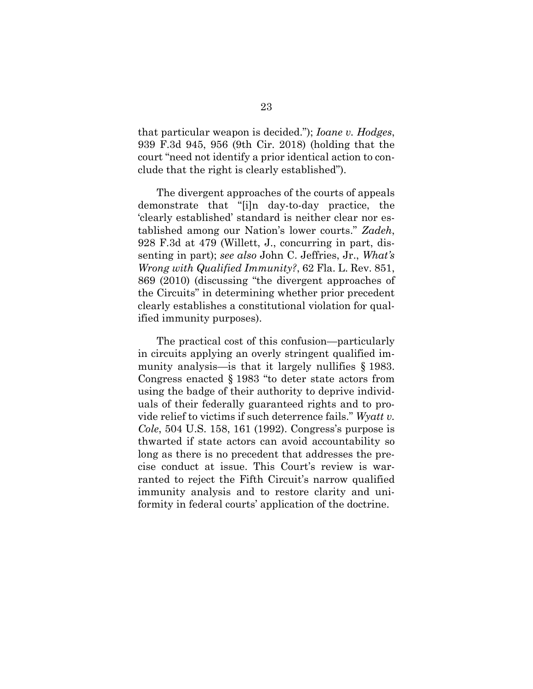that particular weapon is decided."); *Ioane v. Hodges*, 939 F.3d 945, 956 (9th Cir. 2018) (holding that the court "need not identify a prior identical action to conclude that the right is clearly established").

The divergent approaches of the courts of appeals demonstrate that "[i]n day-to-day practice, the 'clearly established' standard is neither clear nor established among our Nation's lower courts." *Zadeh*, 928 F.3d at 479 (Willett, J., concurring in part, dissenting in part); *see also* John C. Jeffries, Jr., *What's Wrong with Qualified Immunity?*, 62 Fla. L. Rev. 851, 869 (2010) (discussing "the divergent approaches of the Circuits" in determining whether prior precedent clearly establishes a constitutional violation for qualified immunity purposes).

The practical cost of this confusion—particularly in circuits applying an overly stringent qualified immunity analysis—is that it largely nullifies § 1983. Congress enacted § 1983 "to deter state actors from using the badge of their authority to deprive individuals of their federally guaranteed rights and to provide relief to victims if such deterrence fails." *Wyatt v. Cole*, 504 U.S. 158, 161 (1992). Congress's purpose is thwarted if state actors can avoid accountability so long as there is no precedent that addresses the precise conduct at issue. This Court's review is warranted to reject the Fifth Circuit's narrow qualified immunity analysis and to restore clarity and uniformity in federal courts' application of the doctrine.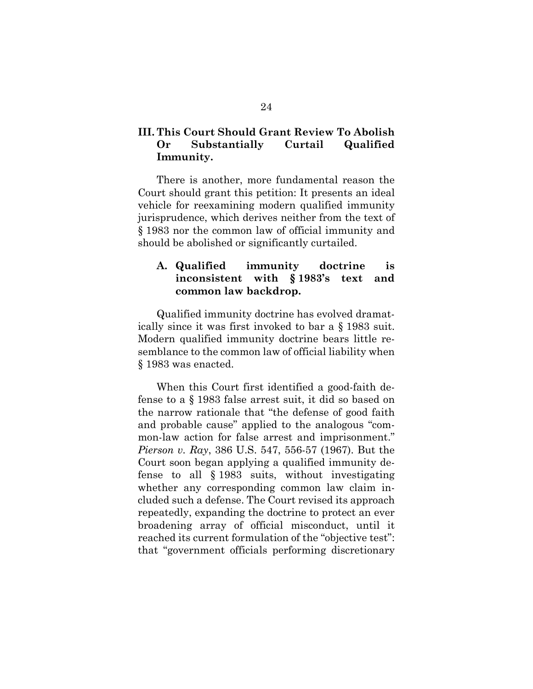## **III. This Court Should Grant Review To Abolish Or Substantially Curtail Qualified Immunity.**

There is another, more fundamental reason the Court should grant this petition: It presents an ideal vehicle for reexamining modern qualified immunity jurisprudence, which derives neither from the text of § 1983 nor the common law of official immunity and should be abolished or significantly curtailed.

## **A. Qualified immunity doctrine is inconsistent with § 1983's text and common law backdrop.**

Qualified immunity doctrine has evolved dramatically since it was first invoked to bar a § 1983 suit. Modern qualified immunity doctrine bears little resemblance to the common law of official liability when § 1983 was enacted.

When this Court first identified a good-faith defense to a § 1983 false arrest suit, it did so based on the narrow rationale that "the defense of good faith and probable cause" applied to the analogous "common-law action for false arrest and imprisonment." *Pierson v. Ray*, 386 U.S. 547, 556-57 (1967). But the Court soon began applying a qualified immunity defense to all § 1983 suits, without investigating whether any corresponding common law claim included such a defense. The Court revised its approach repeatedly, expanding the doctrine to protect an ever broadening array of official misconduct, until it reached its current formulation of the "objective test": that "government officials performing discretionary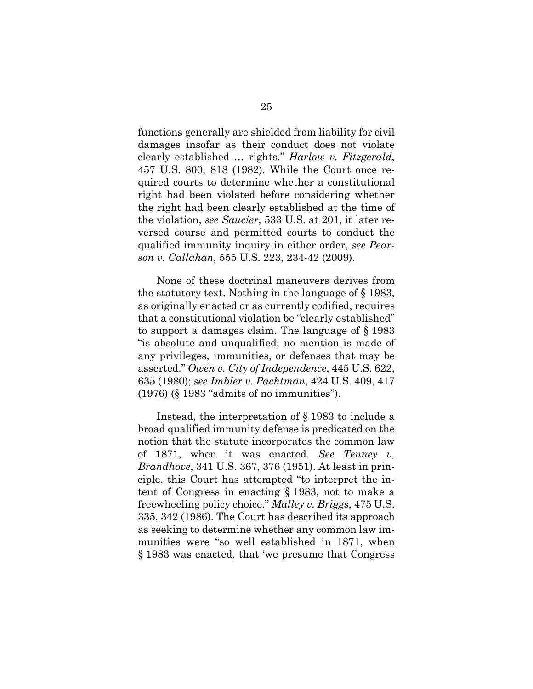functions generally are shielded from liability for civil damages insofar as their conduct does not violate clearly established … rights." *Harlow v. Fitzgerald*, 457 U.S. 800, 818 (1982). While the Court once required courts to determine whether a constitutional right had been violated before considering whether the right had been clearly established at the time of the violation, *see Saucier*, 533 U.S. at 201, it later reversed course and permitted courts to conduct the qualified immunity inquiry in either order, *see Pearson v. Callahan*, 555 U.S. 223, 234-42 (2009).

None of these doctrinal maneuvers derives from the statutory text. Nothing in the language of § 1983, as originally enacted or as currently codified, requires that a constitutional violation be "clearly established" to support a damages claim. The language of § 1983 "is absolute and unqualified; no mention is made of any privileges, immunities, or defenses that may be asserted." *Owen v. City of Independence*, 445 U.S. 622, 635 (1980); *see Imbler v. Pachtman*, 424 U.S. 409, 417 (1976) (§ 1983 "admits of no immunities").

Instead, the interpretation of § 1983 to include a broad qualified immunity defense is predicated on the notion that the statute incorporates the common law of 1871, when it was enacted. *See Tenney v. Brandhove*, 341 U.S. 367, 376 (1951). At least in principle, this Court has attempted "to interpret the intent of Congress in enacting § 1983, not to make a freewheeling policy choice." *Malley v. Briggs*, 475 U.S. 335, 342 (1986). The Court has described its approach as seeking to determine whether any common law immunities were "so well established in 1871, when § 1983 was enacted, that 'we presume that Congress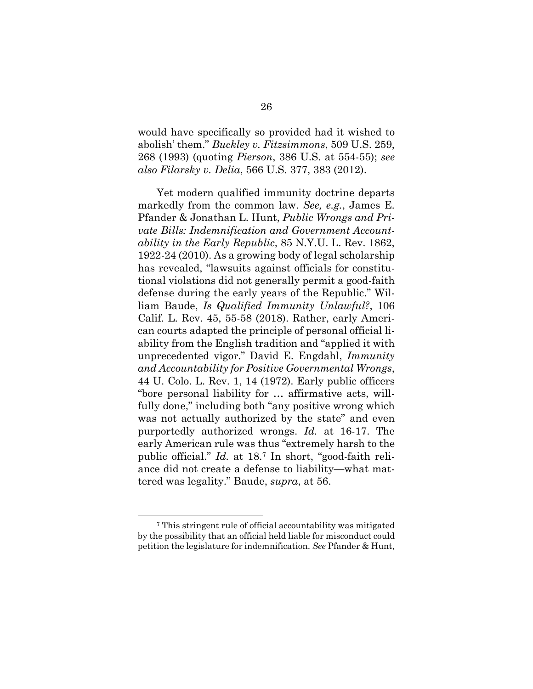would have specifically so provided had it wished to abolish' them." *Buckley v. Fitzsimmons*, 509 U.S. 259, 268 (1993) (quoting *Pierson*, 386 U.S. at 554-55); *see also Filarsky v. Delia*, 566 U.S. 377, 383 (2012).

Yet modern qualified immunity doctrine departs markedly from the common law. *See, e.g.*, James E. Pfander & Jonathan L. Hunt, *Public Wrongs and Private Bills: Indemnification and Government Accountability in the Early Republic*, 85 N.Y.U. L. Rev. 1862, 1922-24 (2010). As a growing body of legal scholarship has revealed, "lawsuits against officials for constitutional violations did not generally permit a good-faith defense during the early years of the Republic." William Baude, *Is Qualified Immunity Unlawful?*, 106 Calif. L. Rev. 45, 55-58 (2018). Rather, early American courts adapted the principle of personal official liability from the English tradition and "applied it with unprecedented vigor." David E. Engdahl, *Immunity and Accountability for Positive Governmental Wrongs*, 44 U. Colo. L. Rev. 1, 14 (1972). Early public officers "bore personal liability for … affirmative acts, willfully done," including both "any positive wrong which was not actually authorized by the state" and even purportedly authorized wrongs. *Id.* at 16-17. The early American rule was thus "extremely harsh to the public official." *Id.* at 18.7 In short, "good-faith reliance did not create a defense to liability—what mattered was legality." Baude, *supra*, at 56.

<sup>7</sup> This stringent rule of official accountability was mitigated by the possibility that an official held liable for misconduct could petition the legislature for indemnification. *See* Pfander & Hunt,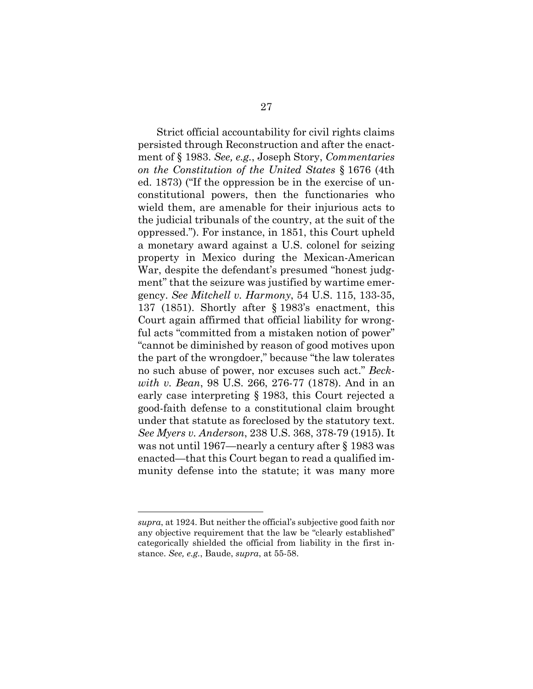Strict official accountability for civil rights claims persisted through Reconstruction and after the enactment of § 1983. *See, e.g.*, Joseph Story, *Commentaries on the Constitution of the United States* § 1676 (4th ed. 1873) ("If the oppression be in the exercise of unconstitutional powers, then the functionaries who wield them, are amenable for their injurious acts to the judicial tribunals of the country, at the suit of the oppressed."). For instance, in 1851, this Court upheld a monetary award against a U.S. colonel for seizing property in Mexico during the Mexican-American War, despite the defendant's presumed "honest judgment" that the seizure was justified by wartime emergency. *See Mitchell v. Harmony*, 54 U.S. 115, 133-35, 137 (1851). Shortly after § 1983's enactment, this Court again affirmed that official liability for wrongful acts "committed from a mistaken notion of power" "cannot be diminished by reason of good motives upon the part of the wrongdoer," because "the law tolerates no such abuse of power, nor excuses such act." *Beckwith v. Bean*, 98 U.S. 266, 276-77 (1878). And in an early case interpreting § 1983, this Court rejected a good-faith defense to a constitutional claim brought under that statute as foreclosed by the statutory text. *See Myers v. Anderson*, 238 U.S. 368, 378-79 (1915). It was not until 1967—nearly a century after § 1983 was enacted—that this Court began to read a qualified immunity defense into the statute; it was many more

*supra*, at 1924. But neither the official's subjective good faith nor any objective requirement that the law be "clearly established" categorically shielded the official from liability in the first instance. *See, e.g.*, Baude, *supra*, at 55-58.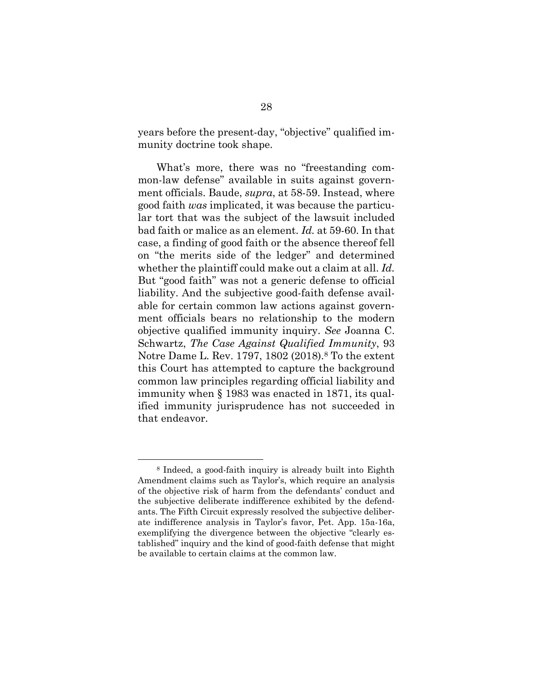years before the present-day, "objective" qualified immunity doctrine took shape.

What's more, there was no "freestanding common-law defense" available in suits against government officials. Baude, *supra*, at 58-59. Instead, where good faith *was* implicated, it was because the particular tort that was the subject of the lawsuit included bad faith or malice as an element. *Id.* at 59-60. In that case, a finding of good faith or the absence thereof fell on "the merits side of the ledger" and determined whether the plaintiff could make out a claim at all. *Id.* But "good faith" was not a generic defense to official liability. And the subjective good-faith defense available for certain common law actions against government officials bears no relationship to the modern objective qualified immunity inquiry. *See* Joanna C. Schwartz, *The Case Against Qualified Immunity*, 93 Notre Dame L. Rev. 1797, 1802 (2018).8 To the extent this Court has attempted to capture the background common law principles regarding official liability and immunity when § 1983 was enacted in 1871, its qualified immunity jurisprudence has not succeeded in that endeavor.

<sup>8</sup> Indeed, a good-faith inquiry is already built into Eighth Amendment claims such as Taylor's, which require an analysis of the objective risk of harm from the defendants' conduct and the subjective deliberate indifference exhibited by the defendants. The Fifth Circuit expressly resolved the subjective deliberate indifference analysis in Taylor's favor, Pet. App. 15a-16a, exemplifying the divergence between the objective "clearly established" inquiry and the kind of good-faith defense that might be available to certain claims at the common law.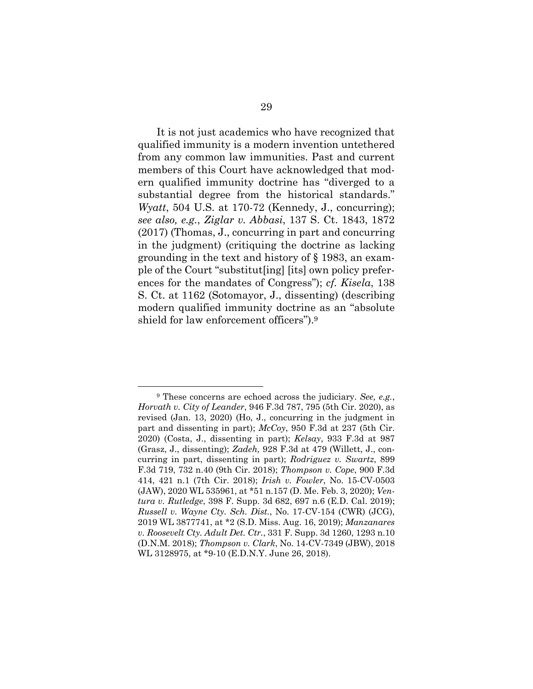It is not just academics who have recognized that qualified immunity is a modern invention untethered from any common law immunities. Past and current members of this Court have acknowledged that modern qualified immunity doctrine has "diverged to a substantial degree from the historical standards." *Wyatt*, 504 U.S. at 170-72 (Kennedy, J., concurring); *see also, e.g.*, *Ziglar v. Abbasi*, 137 S. Ct. 1843, 1872 (2017) (Thomas, J., concurring in part and concurring in the judgment) (critiquing the doctrine as lacking grounding in the text and history of § 1983, an example of the Court "substitut[ing] [its] own policy preferences for the mandates of Congress"); *cf. Kisela*, 138 S. Ct. at 1162 (Sotomayor, J., dissenting) (describing modern qualified immunity doctrine as an "absolute shield for law enforcement officers").9

<sup>9</sup> These concerns are echoed across the judiciary. *See, e.g.*, *Horvath v. City of Leander*, 946 F.3d 787, 795 (5th Cir. 2020), as revised (Jan. 13, 2020) (Ho, J., concurring in the judgment in part and dissenting in part); *McCoy*, 950 F.3d at 237 (5th Cir. 2020) (Costa, J., dissenting in part); *Kelsay*, 933 F.3d at 987 (Grasz, J., dissenting); *Zadeh,* 928 F.3d at 479 (Willett, J., concurring in part, dissenting in part); *Rodriguez v. Swartz*, 899 F.3d 719, 732 n.40 (9th Cir. 2018); *Thompson v. Cope*, 900 F.3d 414, 421 n.1 (7th Cir. 2018); *Irish v. Fowler*, No. 15-CV-0503 (JAW), 2020 WL 535961, at \*51 n.157 (D. Me. Feb. 3, 2020); *Ventura v. Rutledge*, 398 F. Supp. 3d 682, 697 n.6 (E.D. Cal. 2019); *Russell v. Wayne Cty. Sch. Dist.*, No. 17-CV-154 (CWR) (JCG), 2019 WL 3877741, at \*2 (S.D. Miss. Aug. 16, 2019); *Manzanares v. Roosevelt Cty. Adult Det. Ctr.*, 331 F. Supp. 3d 1260, 1293 n.10 (D.N.M. 2018); *Thompson v. Clark*, No. 14-CV-7349 (JBW), 2018 WL 3128975, at \*9-10 (E.D.N.Y. June 26, 2018).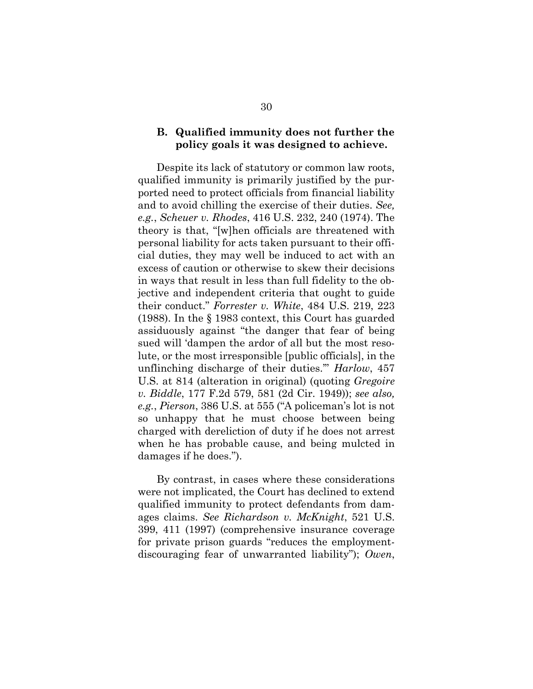### **B. Qualified immunity does not further the policy goals it was designed to achieve.**

Despite its lack of statutory or common law roots, qualified immunity is primarily justified by the purported need to protect officials from financial liability and to avoid chilling the exercise of their duties. *See, e.g.*, *Scheuer v. Rhodes*, 416 U.S. 232, 240 (1974). The theory is that, "[w]hen officials are threatened with personal liability for acts taken pursuant to their official duties, they may well be induced to act with an excess of caution or otherwise to skew their decisions in ways that result in less than full fidelity to the objective and independent criteria that ought to guide their conduct." *Forrester v. White*, 484 U.S. 219, 223 (1988). In the § 1983 context, this Court has guarded assiduously against "the danger that fear of being sued will 'dampen the ardor of all but the most resolute, or the most irresponsible [public officials], in the unflinching discharge of their duties.'" *Harlow*, 457 U.S. at 814 (alteration in original) (quoting *Gregoire v. Biddle*, 177 F.2d 579, 581 (2d Cir. 1949)); *see also, e.g.*, *Pierson*, 386 U.S. at 555 ("A policeman's lot is not so unhappy that he must choose between being charged with dereliction of duty if he does not arrest when he has probable cause, and being mulcted in damages if he does.").

By contrast, in cases where these considerations were not implicated, the Court has declined to extend qualified immunity to protect defendants from damages claims. *See Richardson v. McKnight*, 521 U.S. 399, 411 (1997) (comprehensive insurance coverage for private prison guards "reduces the employmentdiscouraging fear of unwarranted liability"); *Owen*,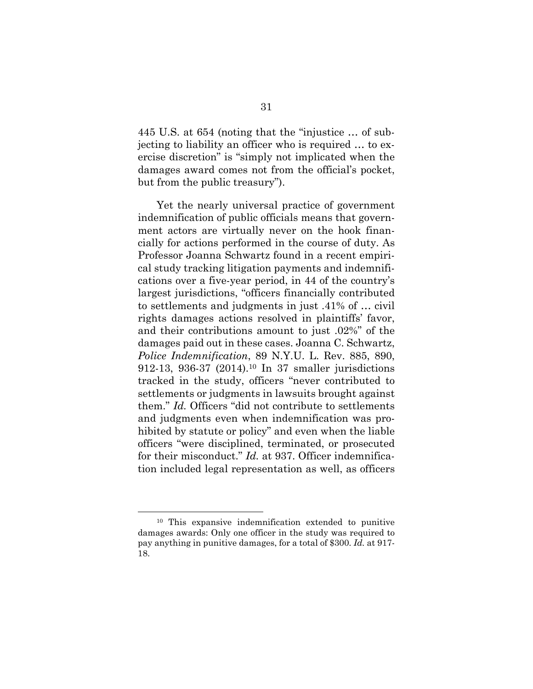445 U.S. at 654 (noting that the "injustice … of subjecting to liability an officer who is required … to exercise discretion" is "simply not implicated when the damages award comes not from the official's pocket, but from the public treasury").

Yet the nearly universal practice of government indemnification of public officials means that government actors are virtually never on the hook financially for actions performed in the course of duty. As Professor Joanna Schwartz found in a recent empirical study tracking litigation payments and indemnifications over a five-year period, in 44 of the country's largest jurisdictions, "officers financially contributed to settlements and judgments in just .41% of … civil rights damages actions resolved in plaintiffs' favor, and their contributions amount to just .02%" of the damages paid out in these cases. Joanna C. Schwartz, *Police Indemnification*, 89 N.Y.U. L. Rev. 885, 890, 912-13, 936-37 (2014).10 In 37 smaller jurisdictions tracked in the study, officers "never contributed to settlements or judgments in lawsuits brought against them." *Id.* Officers "did not contribute to settlements and judgments even when indemnification was prohibited by statute or policy" and even when the liable officers "were disciplined, terminated, or prosecuted for their misconduct." *Id.* at 937. Officer indemnification included legal representation as well, as officers

<sup>10</sup> This expansive indemnification extended to punitive damages awards: Only one officer in the study was required to pay anything in punitive damages, for a total of \$300. *Id.* at 917- 18.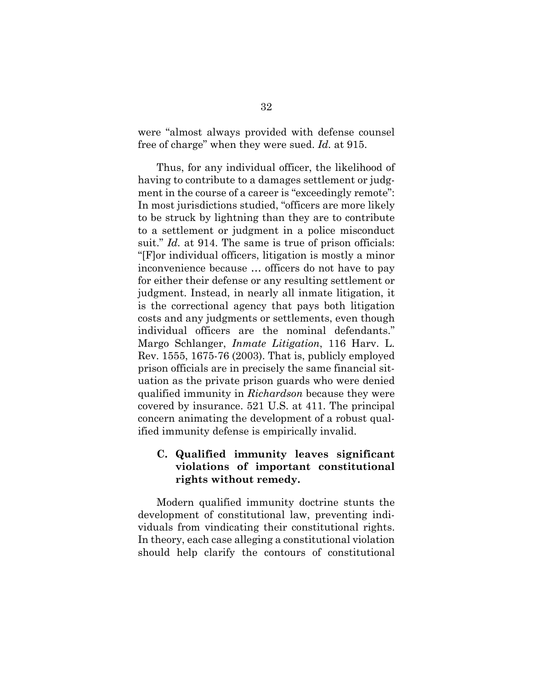were "almost always provided with defense counsel free of charge" when they were sued. *Id.* at 915.

Thus, for any individual officer, the likelihood of having to contribute to a damages settlement or judgment in the course of a career is "exceedingly remote": In most jurisdictions studied, "officers are more likely to be struck by lightning than they are to contribute to a settlement or judgment in a police misconduct suit." *Id.* at 914. The same is true of prison officials: "[F]or individual officers, litigation is mostly a minor inconvenience because … officers do not have to pay for either their defense or any resulting settlement or judgment. Instead, in nearly all inmate litigation, it is the correctional agency that pays both litigation costs and any judgments or settlements, even though individual officers are the nominal defendants." Margo Schlanger, *Inmate Litigation*, 116 Harv. L. Rev. 1555, 1675-76 (2003). That is, publicly employed prison officials are in precisely the same financial situation as the private prison guards who were denied qualified immunity in *Richardson* because they were covered by insurance. 521 U.S. at 411. The principal concern animating the development of a robust qualified immunity defense is empirically invalid.

## **C. Qualified immunity leaves significant violations of important constitutional rights without remedy.**

Modern qualified immunity doctrine stunts the development of constitutional law, preventing individuals from vindicating their constitutional rights. In theory, each case alleging a constitutional violation should help clarify the contours of constitutional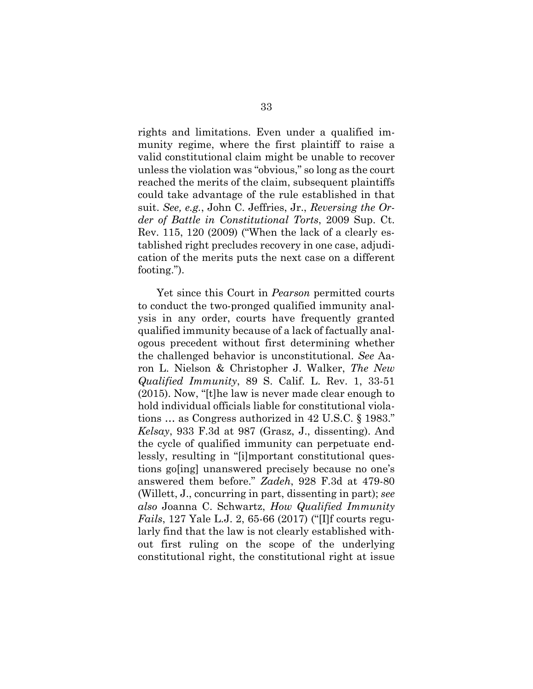rights and limitations. Even under a qualified immunity regime, where the first plaintiff to raise a valid constitutional claim might be unable to recover unless the violation was "obvious," so long as the court reached the merits of the claim, subsequent plaintiffs could take advantage of the rule established in that suit. *See, e.g.*, John C. Jeffries, Jr., *Reversing the Order of Battle in Constitutional Torts*, 2009 Sup. Ct. Rev. 115, 120 (2009) ("When the lack of a clearly established right precludes recovery in one case, adjudication of the merits puts the next case on a different footing.").

Yet since this Court in *Pearson* permitted courts to conduct the two-pronged qualified immunity analysis in any order, courts have frequently granted qualified immunity because of a lack of factually analogous precedent without first determining whether the challenged behavior is unconstitutional. *See* Aaron L. Nielson & Christopher J. Walker, *The New Qualified Immunity*, 89 S. Calif. L. Rev. 1, 33-51 (2015). Now, "[t]he law is never made clear enough to hold individual officials liable for constitutional violations … as Congress authorized in 42 U.S.C. § 1983." *Kelsay*, 933 F.3d at 987 (Grasz, J., dissenting). And the cycle of qualified immunity can perpetuate endlessly, resulting in "[i]mportant constitutional questions go[ing] unanswered precisely because no one's answered them before." *Zadeh*, 928 F.3d at 479-80 (Willett, J., concurring in part, dissenting in part); *see also* Joanna C. Schwartz, *How Qualified Immunity Fails*, 127 Yale L.J. 2, 65-66 (2017) ("[I]f courts regularly find that the law is not clearly established without first ruling on the scope of the underlying constitutional right, the constitutional right at issue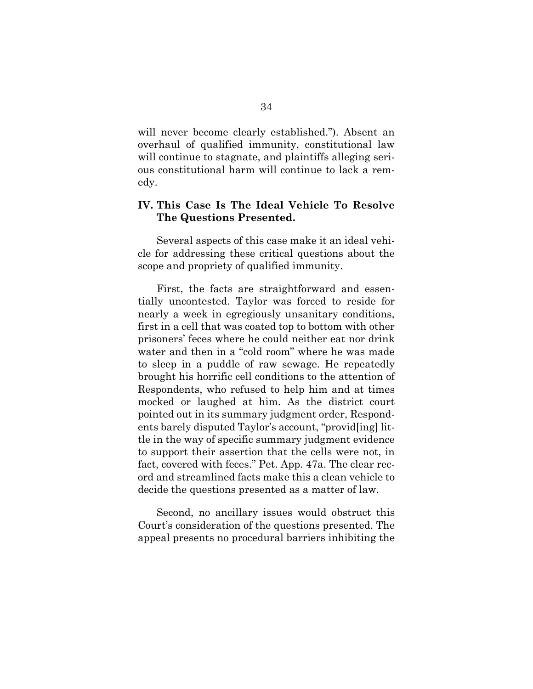will never become clearly established."). Absent an overhaul of qualified immunity, constitutional law will continue to stagnate, and plaintiffs alleging serious constitutional harm will continue to lack a remedy.

## **IV. This Case Is The Ideal Vehicle To Resolve The Questions Presented.**

Several aspects of this case make it an ideal vehicle for addressing these critical questions about the scope and propriety of qualified immunity.

First, the facts are straightforward and essentially uncontested. Taylor was forced to reside for nearly a week in egregiously unsanitary conditions, first in a cell that was coated top to bottom with other prisoners' feces where he could neither eat nor drink water and then in a "cold room" where he was made to sleep in a puddle of raw sewage. He repeatedly brought his horrific cell conditions to the attention of Respondents, who refused to help him and at times mocked or laughed at him. As the district court pointed out in its summary judgment order, Respondents barely disputed Taylor's account, "provid[ing] little in the way of specific summary judgment evidence to support their assertion that the cells were not, in fact, covered with feces." Pet. App. 47a. The clear record and streamlined facts make this a clean vehicle to decide the questions presented as a matter of law.

Second, no ancillary issues would obstruct this Court's consideration of the questions presented. The appeal presents no procedural barriers inhibiting the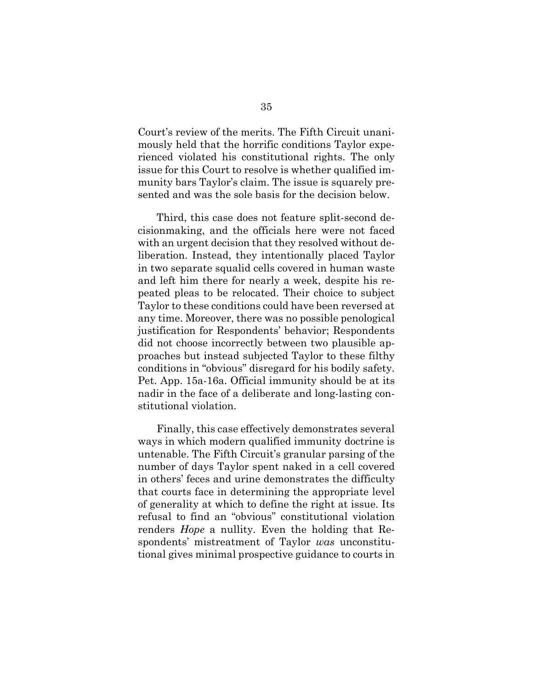Court's review of the merits. The Fifth Circuit unanimously held that the horrific conditions Taylor experienced violated his constitutional rights. The only issue for this Court to resolve is whether qualified immunity bars Taylor's claim. The issue is squarely presented and was the sole basis for the decision below.

Third, this case does not feature split-second decisionmaking, and the officials here were not faced with an urgent decision that they resolved without deliberation. Instead, they intentionally placed Taylor in two separate squalid cells covered in human waste and left him there for nearly a week, despite his repeated pleas to be relocated. Their choice to subject Taylor to these conditions could have been reversed at any time. Moreover, there was no possible penological justification for Respondents' behavior; Respondents did not choose incorrectly between two plausible approaches but instead subjected Taylor to these filthy conditions in "obvious" disregard for his bodily safety. Pet. App. 15a-16a. Official immunity should be at its nadir in the face of a deliberate and long-lasting constitutional violation.

Finally, this case effectively demonstrates several ways in which modern qualified immunity doctrine is untenable. The Fifth Circuit's granular parsing of the number of days Taylor spent naked in a cell covered in others' feces and urine demonstrates the difficulty that courts face in determining the appropriate level of generality at which to define the right at issue. Its refusal to find an "obvious" constitutional violation renders *Hope* a nullity. Even the holding that Respondents' mistreatment of Taylor *was* unconstitutional gives minimal prospective guidance to courts in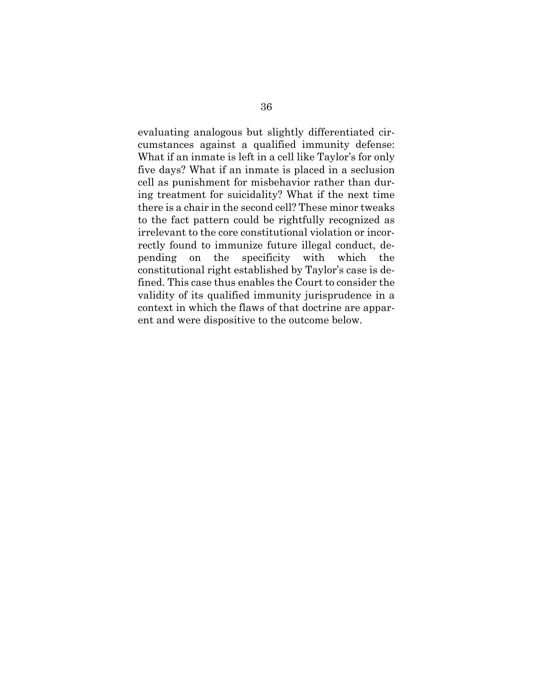evaluating analogous but slightly differentiated circumstances against a qualified immunity defense: What if an inmate is left in a cell like Taylor's for only five days? What if an inmate is placed in a seclusion cell as punishment for misbehavior rather than during treatment for suicidality? What if the next time there is a chair in the second cell? These minor tweaks to the fact pattern could be rightfully recognized as irrelevant to the core constitutional violation or incorrectly found to immunize future illegal conduct, depending on the specificity with which the constitutional right established by Taylor's case is defined. This case thus enables the Court to consider the validity of its qualified immunity jurisprudence in a context in which the flaws of that doctrine are apparent and were dispositive to the outcome below.